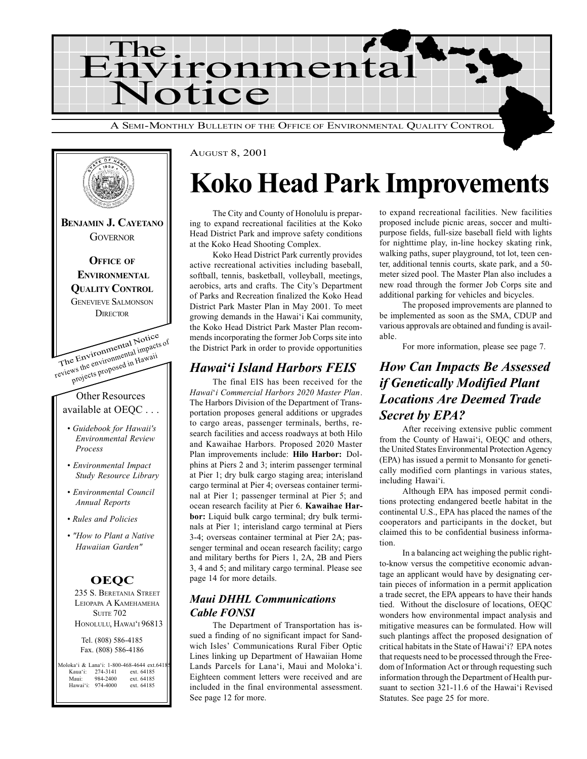



#### AUGUST 8, 2001

## Koko Head Park Improvements

The City and County of Honolulu is preparing to expand recreational facilities at the Koko Head District Park and improve safety conditions at the Koko Head Shooting Complex.

Koko Head District Park currently provides active recreational activities including baseball, softball, tennis, basketball, volleyball, meetings, aerobics, arts and crafts. The City's Department of Parks and Recreation finalized the Koko Head District Park Master Plan in May 2001. To meet growing demands in the Hawai'i Kai community, the Koko Head District Park Master Plan recommends incorporating the former Job Corps site into the District Park in order to provide opportunities

### **Hawai'i Island Harbors FEIS**

The final EIS has been received for the Hawai'i Commercial Harbors 2020 Master Plan. The Harbors Division of the Department of Transportation proposes general additions or upgrades to cargo areas, passenger terminals, berths, research facilities and access roadways at both Hilo and Kawaihae Harbors. Proposed 2020 Master Plan improvements include: Hilo Harbor: Dolphins at Piers 2 and 3; interim passenger terminal at Pier 1; dry bulk cargo staging area; interisland cargo terminal at Pier 4; overseas container terminal at Pier 1; passenger terminal at Pier 5; and ocean research facility at Pier 6. Kawaihae Harbor: Liquid bulk cargo terminal; dry bulk terminals at Pier 1; interisland cargo terminal at Piers 3-4; overseas container terminal at Pier 2A; passenger terminal and ocean research facility; cargo and military berths for Piers 1, 2A, 2B and Piers 3, 4 and 5; and military cargo terminal. Please see page 14 for more details.

### Maui DHHL Communications Cable FONSI

The Department of Transportation has issued a finding of no significant impact for Sandwich Isles' Communications Rural Fiber Optic Lines linking up Department of Hawaiian Home Lands Parcels for Lana'i, Maui and Moloka'i. Eighteen comment letters were received and are included in the final environmental assessment. See page 12 for more.

to expand recreational facilities. New facilities proposed include picnic areas, soccer and multipurpose fields, full-size baseball field with lights for nighttime play, in-line hockey skating rink, walking paths, super playground, tot lot, teen center, additional tennis courts, skate park, and a 50 meter sized pool. The Master Plan also includes a new road through the former Job Corps site and additional parking for vehicles and bicycles.

The proposed improvements are planned to be implemented as soon as the SMA, CDUP and various approvals are obtained and funding is available.

For more information, please see page 7.

### How Can Impacts Be Assessed if Genetically Modified Plant Locations Are Deemed Trade Secret by EPA?

After receiving extensive public comment from the County of Hawai'i, OEQC and others, the United States Environmental Protection Agency (EPA) has issued a permit to Monsanto for genetically modified corn plantings in various states, including Hawai'i.

Although EPA has imposed permit conditions protecting endangered beetle habitat in the continental U.S., EPA has placed the names of the cooperators and participants in the docket, but claimed this to be confidential business information.

In a balancing act weighing the public rightto-know versus the competitive economic advantage an applicant would have by designating certain pieces of information in a permit application a trade secret, the EPA appears to have their hands tied. Without the disclosure of locations, OEQC wonders how environmental impact analysis and mitigative measures can be formulated. How will such plantings affect the proposed designation of critical habitats in the State of Hawai'i? EPA notes that requests need to be processed through the Freedom of Information Act or through requesting such information through the Department of Health pursuant to section 321-11.6 of the Hawai'i Revised Statutes. See page 25 for more.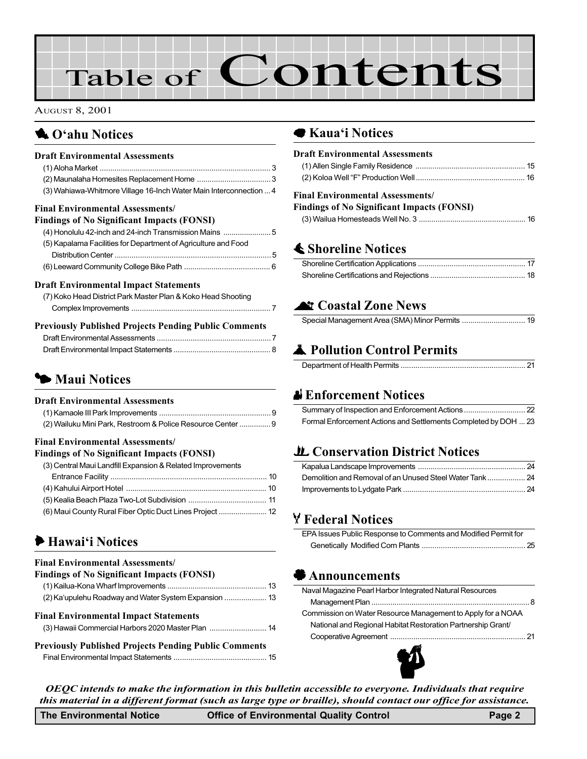# Table of Contents

#### AUGUST 8, 2001

### **1** O'ahu Notices

| <b>Draft Environmental Assessments</b>                             |  |
|--------------------------------------------------------------------|--|
|                                                                    |  |
|                                                                    |  |
| (3) Wahiawa-Whitmore Village 16-Inch Water Main Interconnection  4 |  |
| <b>Final Environmental Assessments/</b>                            |  |
| <b>Findings of No Significant Impacts (FONSI)</b>                  |  |
| (4) Honolulu 42-inch and 24-inch Transmission Mains  5             |  |
| (5) Kapalama Facilities for Department of Agriculture and Food     |  |
|                                                                    |  |
|                                                                    |  |
| <b>Draft Environmental Impact Statements</b>                       |  |
| (7) Koko Head District Park Master Plan & Koko Head Shooting       |  |
|                                                                    |  |

| <b>Previously Published Projects Pending Public Comments</b> |  |
|--------------------------------------------------------------|--|
|                                                              |  |
|                                                              |  |

### **5 Maui Notices**

#### Draft Environmental Assessments

| (2) Wailuku Mini Park, Restroom & Police Resource Center  9 |  |
|-------------------------------------------------------------|--|

#### Final Environmental Assessments/

| <b>Findings of No Significant Impacts (FONSI)</b>          |  |
|------------------------------------------------------------|--|
| (3) Central Maui Landfill Expansion & Related Improvements |  |
|                                                            |  |
|                                                            |  |
|                                                            |  |
| (6) Maui County Rural Fiber Optic Duct Lines Project  12   |  |

### $\blacktriangleright$  Hawai'i Notices

#### Final Environmental Assessments/ Findings of No Significant Impacts (FONSI)

| <b>FINAIDES OF NO SIGNIFICANT HIIDACUS (FUNSI)</b> |  |
|----------------------------------------------------|--|
|                                                    |  |
|                                                    |  |
| <b>Final Environmental Impact Statements</b>       |  |
| (3) Hawaii Commercial Harbors 2020 Master Plan  14 |  |

```
Previously Published Projects Pending Public Comments
Final Environmental Impact Statements ............................................ 15
```
### ● Kaua'i Notices

| <b>Draft Environmental Assessments</b>            |
|---------------------------------------------------|
|                                                   |
|                                                   |
| <b>Final Environmental Assessments/</b>           |
| <b>Findings of No Significant Impacts (FONSI)</b> |
|                                                   |
|                                                   |
| $\clubsuit$ Shoreline Notices                     |
|                                                   |
|                                                   |
| <b>At Coastal Zone News</b>                       |
| Special Management Area (SMA) Minor Permits  19   |
| Pollution Control Permits                         |
|                                                   |
|                                                   |
| $\mathbf{R}$ Exference of Nettoes                 |

### x Enforcement Notices

| Formal Enforcement Actions and Settlements Completed by DOH  23 |  |
|-----------------------------------------------------------------|--|

### LL [Conservation District Notices](#page-23-0)

### Y Federal Notices

| EPA Issues Public Response to Comments and Modified Permit for |  |
|----------------------------------------------------------------|--|
|                                                                |  |

### ' Announcements

| Naval Magazine Pearl Harbor Integrated Natural Resources     |  |
|--------------------------------------------------------------|--|
|                                                              |  |
| Commission on Water Resource Management to Apply for a NOAA  |  |
| National and Regional Habitat Restoration Partnership Grant/ |  |
|                                                              |  |
|                                                              |  |



OEQC intends to make the information in this bulletin accessible to everyone. Individuals that require this material in a different format (such as large type or braille), should contact our office for assistance.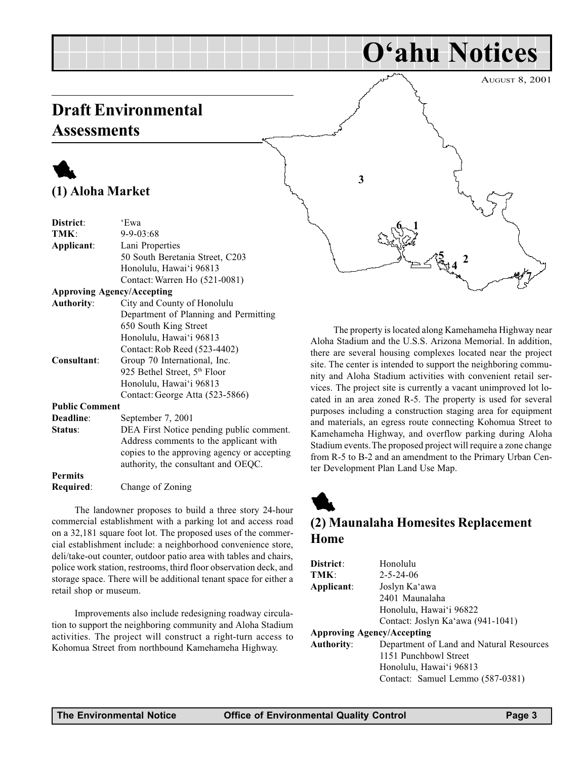### <span id="page-2-0"></span>Draft Environmental **Assessments**

### 1 (1) Aloha Market

| District:             | 'Ewa                                        |
|-----------------------|---------------------------------------------|
| TMK:                  | $9 - 9 - 03:68$                             |
| Applicant:            | Lani Properties                             |
|                       | 50 South Beretania Street, C203             |
|                       | Honolulu, Hawai'i 96813                     |
|                       | Contact: Warren Ho (521-0081)               |
|                       | <b>Approving Agency/Accepting</b>           |
| <b>Authority:</b>     | City and County of Honolulu                 |
|                       | Department of Planning and Permitting       |
|                       | 650 South King Street                       |
|                       | Honolulu, Hawai'i 96813                     |
|                       | Contact: Rob Reed (523-4402)                |
| Consultant:           | Group 70 International, Inc.                |
|                       | 925 Bethel Street, 5 <sup>th</sup> Floor    |
|                       | Honolulu, Hawai'i 96813                     |
|                       | Contact: George Atta (523-5866)             |
| <b>Public Comment</b> |                                             |
| Deadline:             | September 7, 2001                           |
| Status:               | DEA First Notice pending public comment.    |
|                       | Address comments to the applicant with      |
|                       | copies to the approving agency or accepting |
|                       | authority, the consultant and OEQC.         |
| <b>Permits</b>        |                                             |
| Required:             | Change of Zoning                            |
|                       |                                             |

The landowner proposes to build a three story 24-hour commercial establishment with a parking lot and access road on a 32,181 square foot lot. The proposed uses of the commercial establishment include: a neighborhood convenience store, deli/take-out counter, outdoor patio area with tables and chairs, police work station, restrooms, third floor observation deck, and storage space. There will be additional tenant space for either a retail shop or museum.

Improvements also include redesigning roadway circulation to support the neighboring community and Aloha Stadium activities. The project will construct a right-turn access to Kohomua Street from northbound Kamehameha Highway.

AUGUST 8, 2001  $6 - 1$ 7 3 4  $\frac{5}{3}$  2

O'ahu Notices

The property is located along Kamehameha Highway near Aloha Stadium and the U.S.S. Arizona Memorial. In addition, there are several housing complexes located near the project site. The center is intended to support the neighboring community and Aloha Stadium activities with convenient retail services. The project site is currently a vacant unimproved lot located in an area zoned R-5. The property is used for several purposes including a construction staging area for equipment and materials, an egress route connecting Kohomua Street to Kamehameha Highway, and overflow parking during Aloha Stadium events. The proposed project will require a zone change from R-5 to B-2 and an amendment to the Primary Urban Center Development Plan Land Use Map.

### 1 (2) Maunalaha Homesites Replacement Home

| Honolulu                                 |
|------------------------------------------|
| $2 - 5 - 24 - 06$                        |
| Joslyn Ka'awa                            |
| 2401 Maunalaha                           |
| Honolulu, Hawai'i 96822                  |
| Contact: Joslyn Ka'awa (941-1041)        |
| <b>Approving Agency/Accepting</b>        |
| Department of Land and Natural Resources |
| 1151 Punchbowl Street                    |
| Honolulu, Hawai'i 96813                  |
| Contact: Samuel Lemmo (587-0381)         |
|                                          |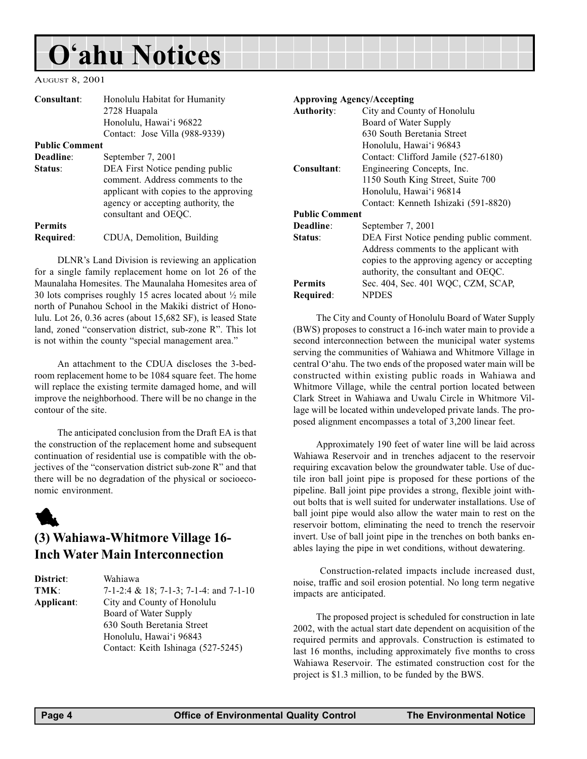<span id="page-3-0"></span>AUGUST 8, 2001

| Consultant:           | Honolulu Habitat for Humanity                    | <b>Approving Agency/Accepting</b> |                                             |  |
|-----------------------|--------------------------------------------------|-----------------------------------|---------------------------------------------|--|
|                       | 2728 Huapala                                     | <b>Authority:</b>                 | City and County of Honolulu                 |  |
|                       | Honolulu, Hawai'i 96822                          |                                   | Board of Water Supply                       |  |
|                       | Contact: Jose Villa (988-9339)                   |                                   | 630 South Beretania Street                  |  |
| <b>Public Comment</b> |                                                  |                                   | Honolulu, Hawai'i 96843                     |  |
| Deadline:             | September 7, 2001                                |                                   | Contact: Clifford Jamile (527-6180)         |  |
| Status:               | DEA First Notice pending public                  | Consultant:                       | Engineering Concepts, Inc.                  |  |
|                       | comment. Address comments to the                 |                                   | 1150 South King Street, Suite 700           |  |
|                       | applicant with copies to the approving           |                                   | Honolulu, Hawai'i 96814                     |  |
|                       | agency or accepting authority, the               |                                   | Contact: Kenneth Ishizaki (591-8820)        |  |
|                       | consultant and OEQC.                             |                                   | <b>Public Comment</b>                       |  |
| <b>Permits</b>        |                                                  | Deadline:                         | September 7, 2001                           |  |
| Required:             | CDUA, Demolition, Building                       | Status:                           | DEA First Notice pending public comment.    |  |
|                       |                                                  |                                   | Address comments to the applicant with      |  |
|                       | DLNR's Land Division is reviewing an application |                                   | copies to the approving agency or accepting |  |

DLNR's Land Division is reviewing an application for a single family replacement home on lot 26 of the Maunalaha Homesites. The Maunalaha Homesites area of 30 lots comprises roughly 15 acres located about ½ mile north of Punahou School in the Makiki district of Honolulu. Lot 26, 0.36 acres (about 15,682 SF), is leased State land, zoned "conservation district, sub-zone R". This lot is not within the county "special management area."

An attachment to the CDUA discloses the 3-bedroom replacement home to be 1084 square feet. The home will replace the existing termite damaged home, and will improve the neighborhood. There will be no change in the contour of the site.

The anticipated conclusion from the Draft EA is that the construction of the replacement home and subsequent continuation of residential use is compatible with the objectives of the "conservation district sub-zone R" and that there will be no degradation of the physical or socioeconomic environment.

## 1

### (3) Wahiawa-Whitmore Village 16- Inch Water Main Interconnection

District: Wahiawa TMK: 7-1-2:4 & 18; 7-1-3; 7-1-4: and 7-1-10 Applicant: City and County of Honolulu Board of Water Supply 630 South Beretania Street Honolulu, Hawai'i 96843 Contact: Keith Ishinaga (527-5245)

# copies to the approving agency or accepting authority, the consultant and OEQC. Permits Sec. 404, Sec. 401 WQC, CZM, SCAP, Required: NPDES The City and County of Honolulu Board of Water Supply

(BWS) proposes to construct a 16-inch water main to provide a second interconnection between the municipal water systems serving the communities of Wahiawa and Whitmore Village in central O'ahu. The two ends of the proposed water main will be constructed within existing public roads in Wahiawa and Whitmore Village, while the central portion located between Clark Street in Wahiawa and Uwalu Circle in Whitmore Village will be located within undeveloped private lands. The proposed alignment encompasses a total of 3,200 linear feet.

Approximately 190 feet of water line will be laid across Wahiawa Reservoir and in trenches adjacent to the reservoir requiring excavation below the groundwater table. Use of ductile iron ball joint pipe is proposed for these portions of the pipeline. Ball joint pipe provides a strong, flexible joint without bolts that is well suited for underwater installations. Use of ball joint pipe would also allow the water main to rest on the reservoir bottom, eliminating the need to trench the reservoir invert. Use of ball joint pipe in the trenches on both banks enables laying the pipe in wet conditions, without dewatering.

 Construction-related impacts include increased dust, noise, traffic and soil erosion potential. No long term negative impacts are anticipated.

The proposed project is scheduled for construction in late 2002, with the actual start date dependent on acquisition of the required permits and approvals. Construction is estimated to last 16 months, including approximately five months to cross Wahiawa Reservoir. The estimated construction cost for the project is \$1.3 million, to be funded by the BWS.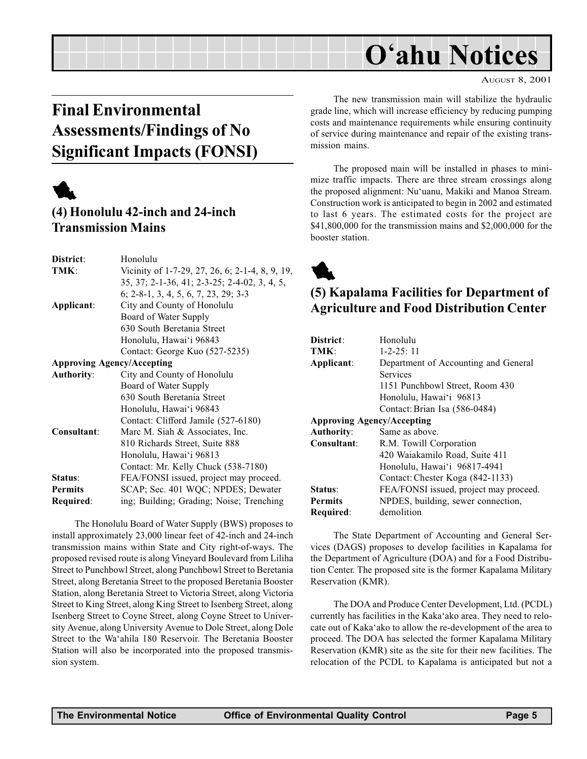#### AUGUST 8, 2001

## <span id="page-4-0"></span>Final Environmental Assessments/Findings of No Significant Impacts (FONSI)



### (4) Honolulu 42-inch and 24-inch Transmission Mains

| District:         | Honolulu                                        |
|-------------------|-------------------------------------------------|
| TMK:              | Vicinity of 1-7-29, 27, 26, 6; 2-1-4, 8, 9, 19, |
|                   | 35, 37; 2-1-36, 41; 2-3-25; 2-4-02, 3, 4, 5,    |
|                   | 6; 2-8-1, 3, 4, 5, 6, 7, 23, 29; 3-3            |
| Applicant:        | City and County of Honolulu                     |
|                   | Board of Water Supply                           |
|                   | 630 South Beretania Street                      |
|                   | Honolulu, Hawai'i 96843                         |
|                   | Contact: George Kuo (527-5235)                  |
|                   | <b>Approving Agency/Accepting</b>               |
| <b>Authority:</b> | City and County of Honolulu                     |
|                   | Board of Water Supply                           |
|                   | 630 South Beretania Street                      |
|                   | Honolulu, Hawai'i 96843                         |
|                   | Contact: Clifford Jamile (527-6180)             |
| Consultant:       | Marc M. Siah & Associates, Inc.                 |
|                   | 810 Richards Street, Suite 888                  |
|                   | Honolulu, Hawai'i 96813                         |
|                   | Contact: Mr. Kelly Chuck (538-7180)             |
| Status:           | FEA/FONSI issued, project may proceed.          |
| <b>Permits</b>    | SCAP; Sec. 401 WQC; NPDES; Dewater              |
| Required:         | ing; Building; Grading; Noise; Trenching        |
|                   |                                                 |

The Honolulu Board of Water Supply (BWS) proposes to install approximately 23,000 linear feet of 42-inch and 24-inch transmission mains within State and City right-of-ways. The proposed revised route is along Vineyard Boulevard from Liliha Street to Punchbowl Street, along Punchbowl Street to Beretania Street, along Beretania Street to the proposed Beretania Booster Station, along Beretania Street to Victoria Street, along Victoria Street to King Street, along King Street to Isenberg Street, along Isenberg Street to Coyne Street, along Coyne Street to University Avenue, along University Avenue to Dole Street, along Dole Street to the Wa'ahila 180 Reservoir. The Beretania Booster Station will also be incorporated into the proposed transmission system.

The new transmission main will stabilize the hydraulic grade line, which will increase efficiency by reducing pumping costs and maintenance requirements while ensuring continuity of service during maintenance and repair of the existing transmission mains.

The proposed main will be installed in phases to minimize traffic impacts. There are three stream crossings along the proposed alignment: Nu'uanu, Makiki and Manoa Stream. Construction work is anticipated to begin in 2002 and estimated to last 6 years. The estimated costs for the project are \$41,800,000 for the transmission mains and \$2,000,000 for the booster station.



### (5) Kapalama Facilities for Department of Agriculture and Food Distribution Center

| District:                         | Honolulu                               |
|-----------------------------------|----------------------------------------|
| TMK:                              | $1 - 2 - 25$ : 11                      |
| Applicant:                        | Department of Accounting and General   |
|                                   | Services                               |
|                                   | 1151 Punchbowl Street, Room 430        |
|                                   | Honolulu, Hawai'i 96813                |
|                                   | Contact: Brian Isa (586-0484)          |
| <b>Approving Agency/Accepting</b> |                                        |
| <b>Authority:</b>                 | Same as above.                         |
| Consultant:                       | R.M. Towill Corporation                |
|                                   | 420 Waiakamilo Road, Suite 411         |
|                                   | Honolulu, Hawai'i 96817-4941           |
|                                   | Contact: Chester Koga (842-1133)       |
| Status:                           | FEA/FONSI issued, project may proceed. |
| <b>Permits</b>                    | NPDES, building, sewer connection,     |
| Required:                         | demolition                             |

The State Department of Accounting and General Services (DAGS) proposes to develop facilities in Kapalama for the Department of Agriculture (DOA) and for a Food Distribution Center. The proposed site is the former Kapalama Military Reservation (KMR).

The DOA and Produce Center Development, Ltd. (PCDL) currently has facilities in the Kaka'ako area. They need to relocate out of Kaka'ako to allow the re-development of the area to proceed. The DOA has selected the former Kapalama Military Reservation (KMR) site as the site for their new facilities. The relocation of the PCDL to Kapalama is anticipated but not a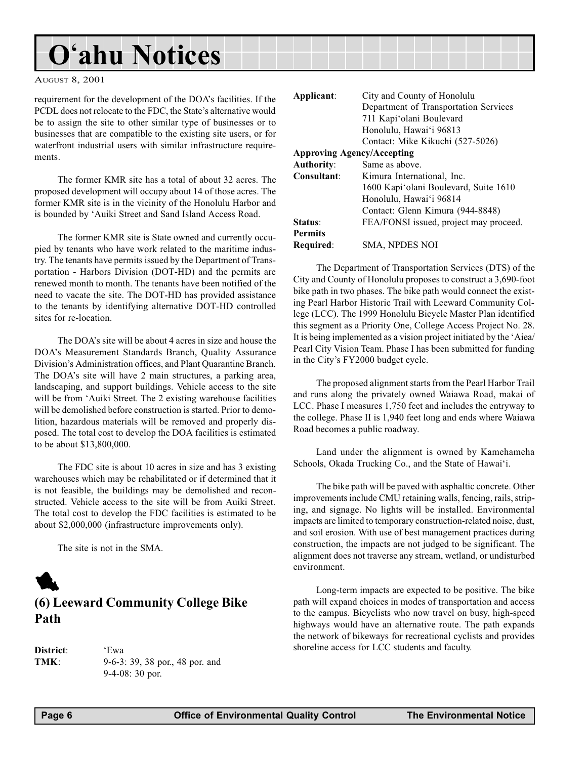<span id="page-5-0"></span>AUGUST 8, 2001

requirement for the development of the DOA's facilities. If the PCDL does not relocate to the FDC, the State's alternative would be to assign the site to other similar type of businesses or to businesses that are compatible to the existing site users, or for waterfront industrial users with similar infrastructure requirements.

The former KMR site has a total of about 32 acres. The proposed development will occupy about 14 of those acres. The former KMR site is in the vicinity of the Honolulu Harbor and is bounded by 'Auiki Street and Sand Island Access Road.

The former KMR site is State owned and currently occupied by tenants who have work related to the maritime industry. The tenants have permits issued by the Department of Transportation - Harbors Division (DOT-HD) and the permits are renewed month to month. The tenants have been notified of the need to vacate the site. The DOT-HD has provided assistance to the tenants by identifying alternative DOT-HD controlled sites for re-location.

The DOA's site will be about 4 acres in size and house the DOAs Measurement Standards Branch, Quality Assurance Division's Administration offices, and Plant Quarantine Branch. The DOA's site will have 2 main structures, a parking area, landscaping, and support buildings. Vehicle access to the site will be from 'Auiki Street. The 2 existing warehouse facilities will be demolished before construction is started. Prior to demolition, hazardous materials will be removed and properly disposed. The total cost to develop the DOA facilities is estimated to be about \$13,800,000.

The FDC site is about 10 acres in size and has 3 existing warehouses which may be rehabilitated or if determined that it is not feasible, the buildings may be demolished and reconstructed. Vehicle access to the site will be from Auiki Street. The total cost to develop the FDC facilities is estimated to be about \$2,000,000 (infrastructure improvements only).

The site is not in the SMA.



| <b>District</b> : |  |
|-------------------|--|
| TMK:              |  |

'Ewa 9-6-3: 39, 38 por., 48 por. and 9-4-08: 30 por.

| Applicant:     | City and County of Honolulu<br>Department of Transportation Services<br>711 Kapi'olani Boulevard<br>Honolulu, Hawai'i 96813 |
|----------------|-----------------------------------------------------------------------------------------------------------------------------|
|                | Contact: Mike Kikuchi (527-5026)                                                                                            |
|                | <b>Approving Agency/Accepting</b>                                                                                           |
| Authority:     | Same as above.                                                                                                              |
| Consultant:    | Kimura International, Inc.                                                                                                  |
|                | 1600 Kapi'olani Boulevard, Suite 1610                                                                                       |
|                | Honolulu, Hawai'i 96814                                                                                                     |
|                | Contact: Glenn Kimura (944-8848)                                                                                            |
| Status:        | FEA/FONSI issued, project may proceed.                                                                                      |
| <b>Permits</b> |                                                                                                                             |
| Required:      | <b>SMA, NPDES NOI</b>                                                                                                       |

The Department of Transportation Services (DTS) of the City and County of Honolulu proposes to construct a 3,690-foot bike path in two phases. The bike path would connect the existing Pearl Harbor Historic Trail with Leeward Community College (LCC). The 1999 Honolulu Bicycle Master Plan identified this segment as a Priority One, College Access Project No. 28. It is being implemented as a vision project initiated by the 'Aiea/ Pearl City Vision Team. Phase I has been submitted for funding in the City's FY2000 budget cycle.

The proposed alignment starts from the Pearl Harbor Trail and runs along the privately owned Waiawa Road, makai of LCC. Phase I measures 1,750 feet and includes the entryway to the college. Phase II is 1,940 feet long and ends where Waiawa Road becomes a public roadway.

Land under the alignment is owned by Kamehameha Schools, Okada Trucking Co., and the State of Hawai'i.

The bike path will be paved with asphaltic concrete. Other improvements include CMU retaining walls, fencing, rails, striping, and signage. No lights will be installed. Environmental impacts are limited to temporary construction-related noise, dust, and soil erosion. With use of best management practices during construction, the impacts are not judged to be significant. The alignment does not traverse any stream, wetland, or undisturbed environment.

Long-term impacts are expected to be positive. The bike path will expand choices in modes of transportation and access to the campus. Bicyclists who now travel on busy, high-speed highways would have an alternative route. The path expands the network of bikeways for recreational cyclists and provides shoreline access for LCC students and faculty.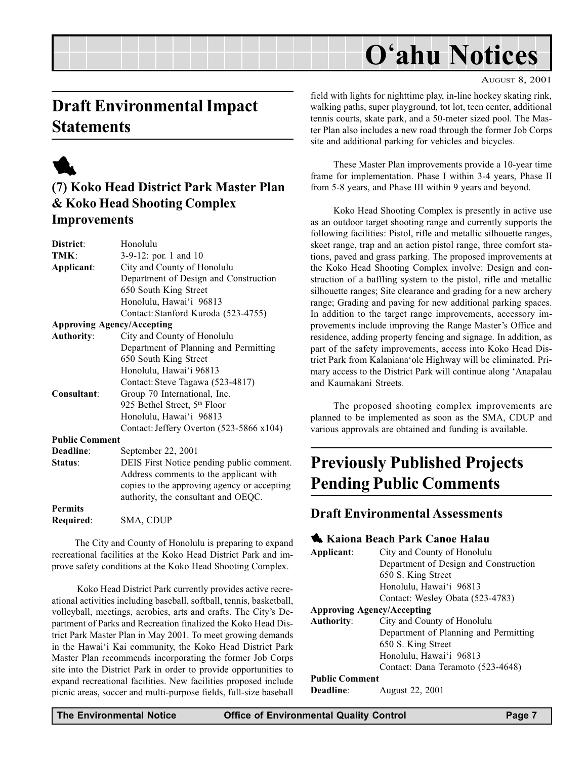#### AUGUST 8, 2001

## <span id="page-6-0"></span>Draft Environmental Impact **Statements**



### (7) Koko Head District Park Master Plan & Koko Head Shooting Complex Improvements

| District:             | Honolulu                                    |
|-----------------------|---------------------------------------------|
| TMK:                  | 3-9-12: por. 1 and 10                       |
| Applicant:            | City and County of Honolulu                 |
|                       | Department of Design and Construction       |
|                       | 650 South King Street                       |
|                       | Honolulu, Hawai'i 96813                     |
|                       | Contact: Stanford Kuroda (523-4755)         |
|                       | <b>Approving Agency/Accepting</b>           |
| <b>Authority:</b>     | City and County of Honolulu                 |
|                       | Department of Planning and Permitting       |
|                       | 650 South King Street                       |
|                       | Honolulu, Hawai'i 96813                     |
|                       | Contact: Steve Tagawa (523-4817)            |
| Consultant:           | Group 70 International, Inc.                |
|                       | 925 Bethel Street, 5th Floor                |
|                       | Honolulu, Hawai'i 96813                     |
|                       | Contact: Jeffery Overton (523-5866 x104)    |
| <b>Public Comment</b> |                                             |
| Deadline:             | September 22, 2001                          |
| Status:               | DEIS First Notice pending public comment.   |
|                       | Address comments to the applicant with      |
|                       | copies to the approving agency or accepting |
|                       | authority, the consultant and OEQC.         |
| <b>Permits</b>        |                                             |
| Required:             | SMA, CDUP                                   |

The City and County of Honolulu is preparing to expand recreational facilities at the Koko Head District Park and improve safety conditions at the Koko Head Shooting Complex.

 Koko Head District Park currently provides active recreational activities including baseball, softball, tennis, basketball, volleyball, meetings, aerobics, arts and crafts. The City's Department of Parks and Recreation finalized the Koko Head District Park Master Plan in May 2001. To meet growing demands in the Hawai'i Kai community, the Koko Head District Park Master Plan recommends incorporating the former Job Corps site into the District Park in order to provide opportunities to expand recreational facilities. New facilities proposed include picnic areas, soccer and multi-purpose fields, full-size baseball

field with lights for nighttime play, in-line hockey skating rink, walking paths, super playground, tot lot, teen center, additional tennis courts, skate park, and a 50-meter sized pool. The Master Plan also includes a new road through the former Job Corps site and additional parking for vehicles and bicycles.

These Master Plan improvements provide a 10-year time frame for implementation. Phase I within 3-4 years, Phase II from 5-8 years, and Phase III within 9 years and beyond.

Koko Head Shooting Complex is presently in active use as an outdoor target shooting range and currently supports the following facilities: Pistol, rifle and metallic silhouette ranges, skeet range, trap and an action pistol range, three comfort stations, paved and grass parking. The proposed improvements at the Koko Head Shooting Complex involve: Design and construction of a baffling system to the pistol, rifle and metallic silhouette ranges; Site clearance and grading for a new archery range; Grading and paving for new additional parking spaces. In addition to the target range improvements, accessory improvements include improving the Range Master's Office and residence, adding property fencing and signage. In addition, as part of the safety improvements, access into Koko Head District Park from Kalaniana'ole Highway will be eliminated. Primary access to the District Park will continue along 'Anapalau and Kaumakani Streets.

The proposed shooting complex improvements are planned to be implemented as soon as the SMA, CDUP and various approvals are obtained and funding is available.

## Previously Published Projects Pending Public Comments

### Draft Environmental Assessments

### **1 Kaiona Beach Park Canoe Halau**

| Applicant:                        | City and County of Honolulu<br>Department of Design and Construction |
|-----------------------------------|----------------------------------------------------------------------|
|                                   | 650 S. King Street                                                   |
|                                   | Honolulu, Hawai'i 96813                                              |
|                                   | Contact: Wesley Obata (523-4783)                                     |
| <b>Approving Agency/Accepting</b> |                                                                      |
| <b>Authority:</b>                 | City and County of Honolulu                                          |
|                                   | Department of Planning and Permitting                                |
|                                   | 650 S. King Street                                                   |
|                                   | Honolulu, Hawai'i 96813                                              |
|                                   | Contact: Dana Teramoto (523-4648)                                    |
| <b>Public Comment</b>             |                                                                      |
| Deadline:                         | August 22, 2001                                                      |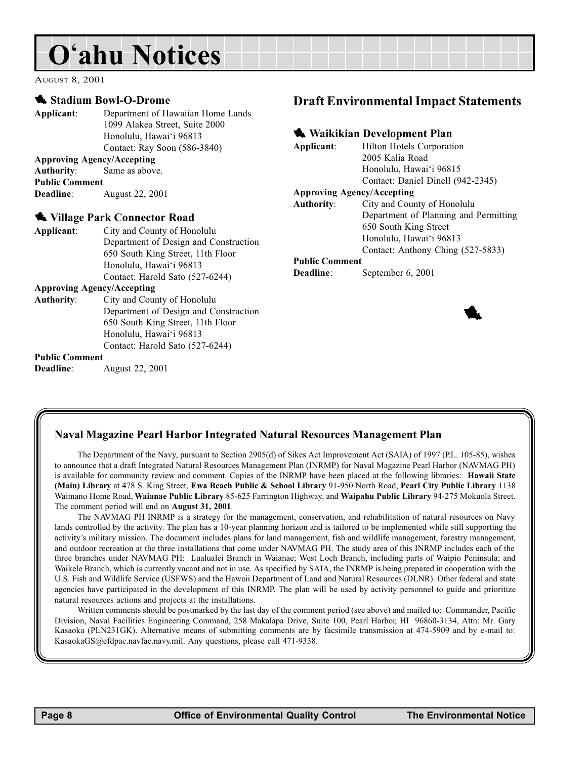<span id="page-7-0"></span>AUGUST 8, 2001

#### **1** Stadium Bowl-O-Drome

Deadline: August 22, 2001

Applicant: Department of Hawaiian Home Lands 1099 Alakea Street, Suite 2000 Honolulu, Hawai'i 96813 Contact: Ray Soon (586-3840) Approving Agency/Accepting Authority: Same as above. Public Comment Deadline: August 22, 2001 We Village Park Connector Road Applicant: City and County of Honolulu Department of Design and Construction 650 South King Street, 11th Floor Honolulu, Hawai'i 96813 Contact: Harold Sato (527-6244) Approving Agency/Accepting Authority: City and County of Honolulu Department of Design and Construction 650 South King Street, 11th Floor Honolulu, Hawai'i 96813 Contact: Harold Sato (527-6244) Public Comment

### Draft Environmental Impact Statements

#### **Waikikian Development Plan**

Applicant: Hilton Hotels Corporation 2005 Kalia Road Honolulu, Hawai'i 96815 Contact: Daniel Dinell (942-2345) Approving Agency/Accepting Authority: City and County of Honolulu Department of Planning and Permitting 650 South King Street Honolulu, Hawai'i 96813 Contact: Anthony Ching (527-5833)

#### Public Comment

Deadline: September 6, 2001

#### Naval Magazine Pearl Harbor Integrated Natural Resources Management Plan

The Department of the Navy, pursuant to Section 2905(d) of Sikes Act Improvement Act (SAIA) of 1997 (P.L. 105-85), wishes to announce that a draft Integrated Natural Resources Management Plan (INRMP) for Naval Magazine Pearl Harbor (NAVMAG PH) is available for community review and comment. Copies of the INRMP have been placed at the following libraries: Hawaii State (Main) Library at 478 S. King Street, Ewa Beach Public & School Library 91-950 North Road, Pearl City Public Library 1138 Waimano Home Road, Waianae Public Library 85-625 Farrington Highway, and Waipahu Public Library 94-275 Mokuola Street. The comment period will end on August 31, 2001.

The NAVMAG PH INRMP is a strategy for the management, conservation, and rehabilitation of natural resources on Navy lands controlled by the activity. The plan has a 10-year planning horizon and is tailored to be implemented while still supporting the activity's military mission. The document includes plans for land management, fish and wildlife management, forestry management, and outdoor recreation at the three installations that come under NAVMAG PH. The study area of this INRMP includes each of the three branches under NAVMAG PH: Lualualei Branch in Waianae; West Loch Branch, including parts of Waipio Peninsula; and Waikele Branch, which is currently vacant and not in use. As specified by SAIA, the INRMP is being prepared in cooperation with the U.S. Fish and Wildlife Service (USFWS) and the Hawaii Department of Land and Natural Resources (DLNR). Other federal and state agencies have participated in the development of this INRMP. The plan will be used by activity personnel to guide and prioritize natural resources actions and projects at the installations.

Written comments should be postmarked by the last day of the comment period (see above) and mailed to: Commander, Pacific Division, Naval Facilities Engineering Command, 258 Makalapa Drive, Suite 100, Pearl Harbor, HI 96860-3134, Attn: Mr. Gary Kasaoka (PLN231GK). Alternative means of submitting comments are by facsimile transmission at 474-5909 and by e-mail to: KasaokaGS@efdpac.navfac.navy.mil. Any questions, please call 471-9338.

**1**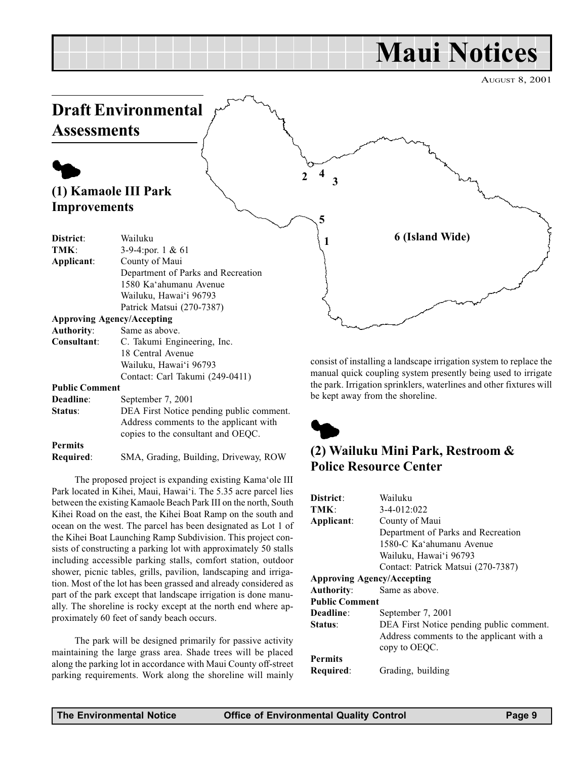# Maui Notices

AUGUST 8, 2001

<span id="page-8-0"></span>

| Deadline:      | September 7, 2001                        |
|----------------|------------------------------------------|
| Status:        | DEA First Notice pending public comment. |
|                | Address comments to the applicant with   |
|                | copies to the consultant and OEOC.       |
| <b>Permits</b> |                                          |
|                |                                          |

Required: SMA, Grading, Building, Driveway, ROW

The proposed project is expanding existing Kama'ole III Park located in Kihei, Maui, Hawai'i. The 5.35 acre parcel lies between the existing Kamaole Beach Park III on the north, South Kihei Road on the east, the Kihei Boat Ramp on the south and ocean on the west. The parcel has been designated as Lot 1 of the Kihei Boat Launching Ramp Subdivision. This project consists of constructing a parking lot with approximately 50 stalls including accessible parking stalls, comfort station, outdoor shower, picnic tables, grills, pavilion, landscaping and irrigation. Most of the lot has been grassed and already considered as part of the park except that landscape irrigation is done manually. The shoreline is rocky except at the north end where approximately 60 feet of sandy beach occurs.

The park will be designed primarily for passive activity maintaining the large grass area. Shade trees will be placed along the parking lot in accordance with Maui County off-street parking requirements. Work along the shoreline will mainly



### (2) Wailuku Mini Park, Restroom & Police Resource Center

| District:                         | Wailuku                                  |
|-----------------------------------|------------------------------------------|
| TMK:                              | 3-4-012:022                              |
| Applicant:                        | County of Maui                           |
|                                   | Department of Parks and Recreation       |
|                                   | 1580-C Ka'ahumanu Avenue                 |
|                                   | Wailuku, Hawai'i 96793                   |
|                                   | Contact: Patrick Matsui (270-7387)       |
| <b>Approving Agency/Accepting</b> |                                          |
| <b>Authority:</b>                 | Same as above.                           |
| <b>Public Comment</b>             |                                          |
| Deadline:                         | September 7, 2001                        |
| Status:                           | DEA First Notice pending public comment. |
|                                   | Address comments to the applicant with a |
|                                   | copy to OEOC.                            |
| <b>Permits</b>                    |                                          |
| Required:                         | Grading, building                        |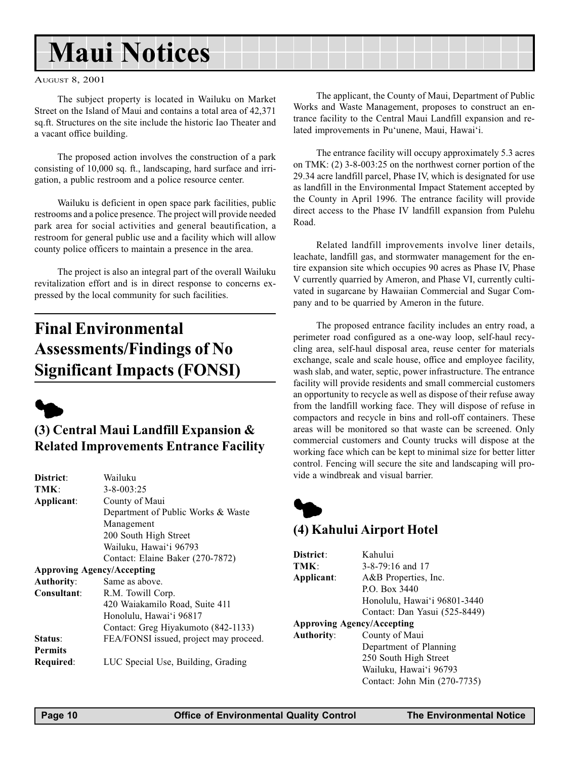# <span id="page-9-0"></span>Maui Notices

#### AUGUST 8, 2001

The subject property is located in Wailuku on Market Street on the Island of Maui and contains a total area of 42,371 sq.ft. Structures on the site include the historic Iao Theater and a vacant office building.

The proposed action involves the construction of a park consisting of 10,000 sq. ft., landscaping, hard surface and irrigation, a public restroom and a police resource center.

Wailuku is deficient in open space park facilities, public restrooms and a police presence. The project will provide needed park area for social activities and general beautification, a restroom for general public use and a facility which will allow county police officers to maintain a presence in the area.

The project is also an integral part of the overall Wailuku revitalization effort and is in direct response to concerns expressed by the local community for such facilities.

## Final Environmental Assessments/Findings of No Significant Impacts (FONSI)



### (3) Central Maui Landfill Expansion & Related Improvements Entrance Facility

| District:                         | Wailuku                                |
|-----------------------------------|----------------------------------------|
| TMK:                              | $3 - 8 - 003:25$                       |
| Applicant:                        | County of Maui                         |
|                                   | Department of Public Works & Waste     |
|                                   | Management                             |
|                                   | 200 South High Street                  |
|                                   | Wailuku, Hawai'i 96793                 |
|                                   | Contact: Elaine Baker (270-7872)       |
| <b>Approving Agency/Accepting</b> |                                        |
| <b>Authority:</b>                 | Same as above.                         |
| Consultant:                       | R.M. Towill Corp.                      |
|                                   | 420 Waiakamilo Road, Suite 411         |
|                                   | Honolulu, Hawai'i 96817                |
|                                   | Contact: Greg Hiyakumoto (842-1133)    |
| Status:                           | FEA/FONSI issued, project may proceed. |
| <b>Permits</b>                    |                                        |
| Required:                         | LUC Special Use, Building, Grading     |

The applicant, the County of Maui, Department of Public Works and Waste Management, proposes to construct an entrance facility to the Central Maui Landfill expansion and related improvements in Pu'unene, Maui, Hawai'i.

The entrance facility will occupy approximately 5.3 acres on TMK: (2) 3-8-003:25 on the northwest corner portion of the 29.34 acre landfill parcel, Phase IV, which is designated for use as landfill in the Environmental Impact Statement accepted by the County in April 1996. The entrance facility will provide direct access to the Phase IV landfill expansion from Pulehu Road.

Related landfill improvements involve liner details, leachate, landfill gas, and stormwater management for the entire expansion site which occupies 90 acres as Phase IV, Phase V currently quarried by Ameron, and Phase VI, currently cultivated in sugarcane by Hawaiian Commercial and Sugar Company and to be quarried by Ameron in the future.

The proposed entrance facility includes an entry road, a perimeter road configured as a one-way loop, self-haul recycling area, self-haul disposal area, reuse center for materials exchange, scale and scale house, office and employee facility, wash slab, and water, septic, power infrastructure. The entrance facility will provide residents and small commercial customers an opportunity to recycle as well as dispose of their refuse away from the landfill working face. They will dispose of refuse in compactors and recycle in bins and roll-off containers. These areas will be monitored so that waste can be screened. Only commercial customers and County trucks will dispose at the working face which can be kept to minimal size for better litter control. Fencing will secure the site and landscaping will provide a windbreak and visual barrier.



### (4) Kahului Airport Hotel

| District:                         | Kahului                       |  |
|-----------------------------------|-------------------------------|--|
| TMK:                              | $3 - 8 - 79$ :16 and 17       |  |
| Applicant:                        | A&B Properties, Inc.          |  |
|                                   | P.O. Box 3440                 |  |
|                                   | Honolulu, Hawai'i 96801-3440  |  |
|                                   | Contact: Dan Yasui (525-8449) |  |
| <b>Approving Agency/Accepting</b> |                               |  |
| <b>Authority:</b>                 | County of Maui                |  |
|                                   | Department of Planning        |  |
|                                   | 250 South High Street         |  |
|                                   | Wailuku, Hawai'i 96793        |  |
|                                   | Contact: John Min (270-7735)  |  |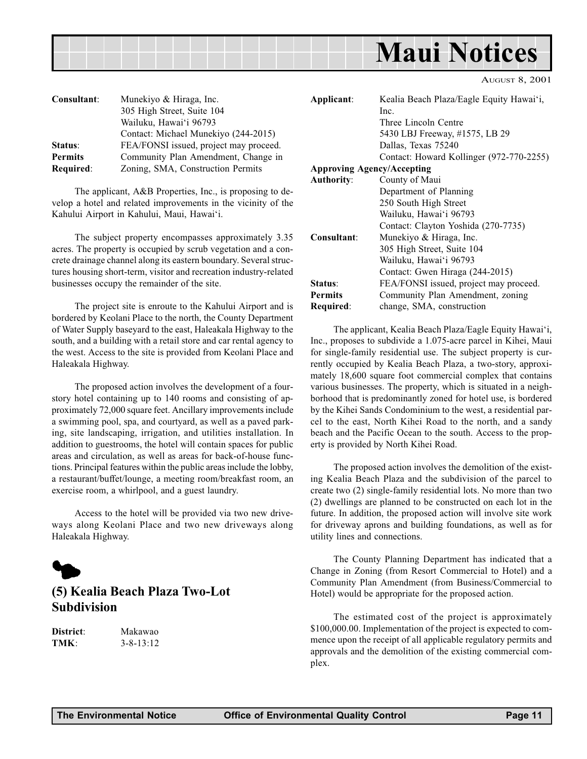<span id="page-10-0"></span>

AUGUST 8, 2001

| Consultant:      | Munekiyo & Hiraga, Inc.<br>305 High Street, Suite 104 |
|------------------|-------------------------------------------------------|
|                  | Wailuku, Hawai'i 96793                                |
|                  | Contact: Michael Munekiyo (244-2015)                  |
| Status:          | FEA/FONSI issued, project may proceed.                |
| <b>Permits</b>   | Community Plan Amendment, Change in                   |
| <b>Required:</b> | Zoning, SMA, Construction Permits                     |

The applicant, A&B Properties, Inc., is proposing to develop a hotel and related improvements in the vicinity of the Kahului Airport in Kahului, Maui, Hawai'i.

The subject property encompasses approximately 3.35 acres. The property is occupied by scrub vegetation and a concrete drainage channel along its eastern boundary. Several structures housing short-term, visitor and recreation industry-related businesses occupy the remainder of the site.

The project site is enroute to the Kahului Airport and is bordered by Keolani Place to the north, the County Department of Water Supply baseyard to the east, Haleakala Highway to the south, and a building with a retail store and car rental agency to the west. Access to the site is provided from Keolani Place and Haleakala Highway.

The proposed action involves the development of a fourstory hotel containing up to 140 rooms and consisting of approximately 72,000 square feet. Ancillary improvements include a swimming pool, spa, and courtyard, as well as a paved parking, site landscaping, irrigation, and utilities installation. In addition to guestrooms, the hotel will contain spaces for public areas and circulation, as well as areas for back-of-house functions. Principal features within the public areas include the lobby, a restaurant/buffet/lounge, a meeting room/breakfast room, an exercise room, a whirlpool, and a guest laundry.

Access to the hotel will be provided via two new driveways along Keolani Place and two new driveways along Haleakala Highway.



### (5) Kealia Beach Plaza Two-Lot Subdivision

District: Makawao TMK: 3-8-13:12

| Applicant:                        | Kealia Beach Plaza/Eagle Equity Hawai'i, |  |  |  |  |  |  |
|-----------------------------------|------------------------------------------|--|--|--|--|--|--|
|                                   | Inc.                                     |  |  |  |  |  |  |
|                                   | Three Lincoln Centre                     |  |  |  |  |  |  |
|                                   | 5430 LBJ Freeway, #1575, LB 29           |  |  |  |  |  |  |
|                                   | Dallas, Texas 75240                      |  |  |  |  |  |  |
|                                   | Contact: Howard Kollinger (972-770-2255) |  |  |  |  |  |  |
| <b>Approving Agency/Accepting</b> |                                          |  |  |  |  |  |  |
| <b>Authority:</b>                 | County of Maui                           |  |  |  |  |  |  |
|                                   | Department of Planning                   |  |  |  |  |  |  |
|                                   | 250 South High Street                    |  |  |  |  |  |  |
|                                   | Wailuku, Hawai'i 96793                   |  |  |  |  |  |  |
|                                   | Contact: Clayton Yoshida (270-7735)      |  |  |  |  |  |  |
| Consultant:                       | Munekiyo & Hiraga, Inc.                  |  |  |  |  |  |  |
|                                   | 305 High Street, Suite 104               |  |  |  |  |  |  |
|                                   | Wailuku, Hawai'i 96793                   |  |  |  |  |  |  |
|                                   | Contact: Gwen Hiraga (244-2015)          |  |  |  |  |  |  |
| Status:                           | FEA/FONSI issued, project may proceed.   |  |  |  |  |  |  |
| <b>Permits</b>                    | Community Plan Amendment, zoning         |  |  |  |  |  |  |
| Required:                         | change, SMA, construction                |  |  |  |  |  |  |

The applicant, Kealia Beach Plaza/Eagle Equity Hawai'i, Inc., proposes to subdivide a 1.075-acre parcel in Kihei, Maui for single-family residential use. The subject property is currently occupied by Kealia Beach Plaza, a two-story, approximately 18,600 square foot commercial complex that contains various businesses. The property, which is situated in a neighborhood that is predominantly zoned for hotel use, is bordered by the Kihei Sands Condominium to the west, a residential parcel to the east, North Kihei Road to the north, and a sandy beach and the Pacific Ocean to the south. Access to the property is provided by North Kihei Road.

The proposed action involves the demolition of the existing Kealia Beach Plaza and the subdivision of the parcel to create two (2) single-family residential lots. No more than two (2) dwellings are planned to be constructed on each lot in the future. In addition, the proposed action will involve site work for driveway aprons and building foundations, as well as for utility lines and connections.

The County Planning Department has indicated that a Change in Zoning (from Resort Commercial to Hotel) and a Community Plan Amendment (from Business/Commercial to Hotel) would be appropriate for the proposed action.

The estimated cost of the project is approximately \$100,000.00. Implementation of the project is expected to commence upon the receipt of all applicable regulatory permits and approvals and the demolition of the existing commercial complex.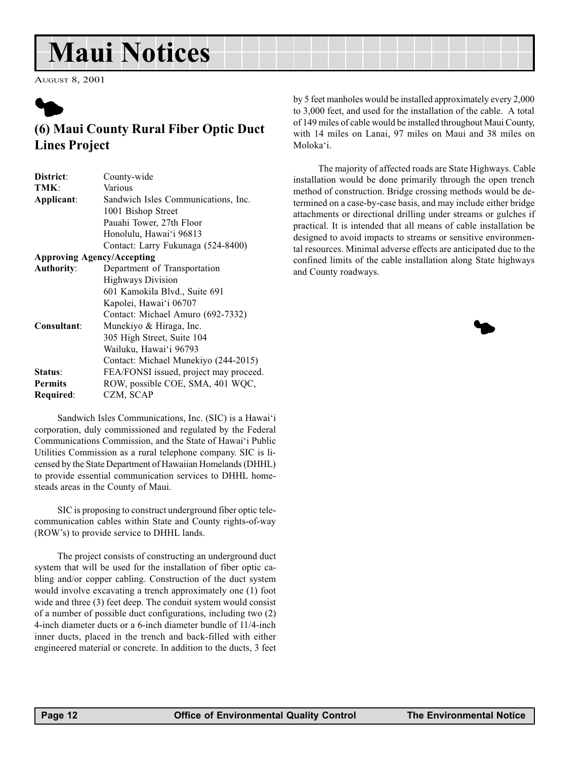# <span id="page-11-0"></span>Maui Notices

AUGUST 8, 2001



### (6) Maui County Rural Fiber Optic Duct Lines Project

Sandwich Isles Communications, Inc. (SIC) is a Hawai'i corporation, duly commissioned and regulated by the Federal Communications Commission, and the State of Hawai'i Public Utilities Commission as a rural telephone company. SIC is licensed by the State Department of Hawaiian Homelands (DHHL) to provide essential communication services to DHHL homesteads areas in the County of Maui.

SIC is proposing to construct underground fiber optic telecommunication cables within State and County rights-of-way (ROWs) to provide service to DHHL lands.

The project consists of constructing an underground duct system that will be used for the installation of fiber optic cabling and/or copper cabling. Construction of the duct system would involve excavating a trench approximately one (1) foot wide and three (3) feet deep. The conduit system would consist of a number of possible duct configurations, including two (2) 4-inch diameter ducts or a 6-inch diameter bundle of 11/4-inch inner ducts, placed in the trench and back-filled with either engineered material or concrete. In addition to the ducts, 3 feet by 5 feet manholes would be installed approximately every 2,000 to 3,000 feet, and used for the installation of the cable. A total of 149 miles of cable would be installed throughout Maui County, with 14 miles on Lanai, 97 miles on Maui and 38 miles on Moloka'i.

 The majority of affected roads are State Highways. Cable installation would be done primarily through the open trench method of construction. Bridge crossing methods would be determined on a case-by-case basis, and may include either bridge attachments or directional drilling under streams or gulches if practical. It is intended that all means of cable installation be designed to avoid impacts to streams or sensitive environmental resources. Minimal adverse effects are anticipated due to the confined limits of the cable installation along State highways and County roadways.

 $\blacklozenge$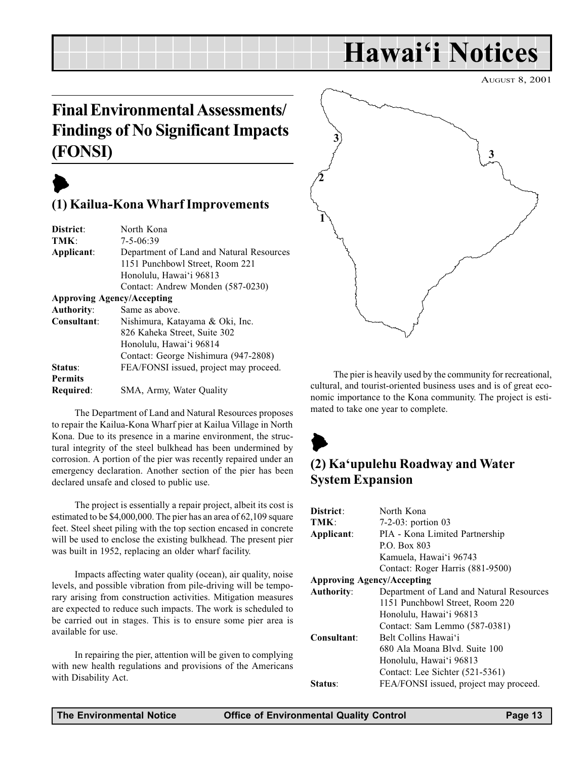# Hawai'i Notices

AUGUST 8, 2001

## <span id="page-12-0"></span>Final Environmental Assessments/ Findings of No Significant Impacts (FONSI)

## $\blacktriangleright$

### (1) Kailua-Kona Wharf Improvements

| North Kona                               |
|------------------------------------------|
| $7 - 5 - 06:39$                          |
| Department of Land and Natural Resources |
| 1151 Punchbowl Street, Room 221          |
| Honolulu, Hawai'i 96813                  |
| Contact: Andrew Monden (587-0230)        |
| <b>Approving Agency/Accepting</b>        |
| Same as above.                           |
| Nishimura, Katayama & Oki, Inc.          |
| 826 Kaheka Street, Suite 302             |
| Honolulu, Hawai'i 96814                  |
| Contact: George Nishimura (947-2808)     |
| FEA/FONSI issued, project may proceed.   |
|                                          |
| SMA, Army, Water Quality                 |
|                                          |

The Department of Land and Natural Resources proposes to repair the Kailua-Kona Wharf pier at Kailua Village in North Kona. Due to its presence in a marine environment, the structural integrity of the steel bulkhead has been undermined by corrosion. A portion of the pier was recently repaired under an emergency declaration. Another section of the pier has been declared unsafe and closed to public use.

The project is essentially a repair project, albeit its cost is estimated to be \$4,000,000. The pier has an area of 62,109 square feet. Steel sheet piling with the top section encased in concrete will be used to enclose the existing bulkhead. The present pier was built in 1952, replacing an older wharf facility.

Impacts affecting water quality (ocean), air quality, noise levels, and possible vibration from pile-driving will be temporary arising from construction activities. Mitigation measures are expected to reduce such impacts. The work is scheduled to be carried out in stages. This is to ensure some pier area is available for use.

In repairing the pier, attention will be given to complying with new health regulations and provisions of the Americans with Disability Act.



The pier is heavily used by the community for recreational, cultural, and tourist-oriented business uses and is of great economic importance to the Kona community. The project is estimated to take one year to complete.

# $\blacktriangleright$

### (2) Ka'upulehu Roadway and Water System Expansion

| District:                         | North Kona                               |  |  |  |  |  |  |
|-----------------------------------|------------------------------------------|--|--|--|--|--|--|
| TMK:                              | 7-2-03: portion 03                       |  |  |  |  |  |  |
| Applicant:                        | PIA - Kona Limited Partnership           |  |  |  |  |  |  |
|                                   | P.O. Box 803                             |  |  |  |  |  |  |
|                                   | Kamuela, Hawai'i 96743                   |  |  |  |  |  |  |
|                                   | Contact: Roger Harris (881-9500)         |  |  |  |  |  |  |
| <b>Approving Agency/Accepting</b> |                                          |  |  |  |  |  |  |
| <b>Authority:</b>                 | Department of Land and Natural Resources |  |  |  |  |  |  |
|                                   | 1151 Punchbowl Street, Room 220          |  |  |  |  |  |  |
|                                   | Honolulu, Hawai'i 96813                  |  |  |  |  |  |  |
|                                   | Contact: Sam Lemmo (587-0381)            |  |  |  |  |  |  |
| Consultant:                       | Belt Collins Hawai'i                     |  |  |  |  |  |  |
|                                   | 680 Ala Moana Blyd. Suite 100            |  |  |  |  |  |  |
|                                   | Honolulu, Hawai'i 96813                  |  |  |  |  |  |  |
|                                   | Contact: Lee Sichter (521-5361)          |  |  |  |  |  |  |
| Status:                           | FEA/FONSI issued, project may proceed.   |  |  |  |  |  |  |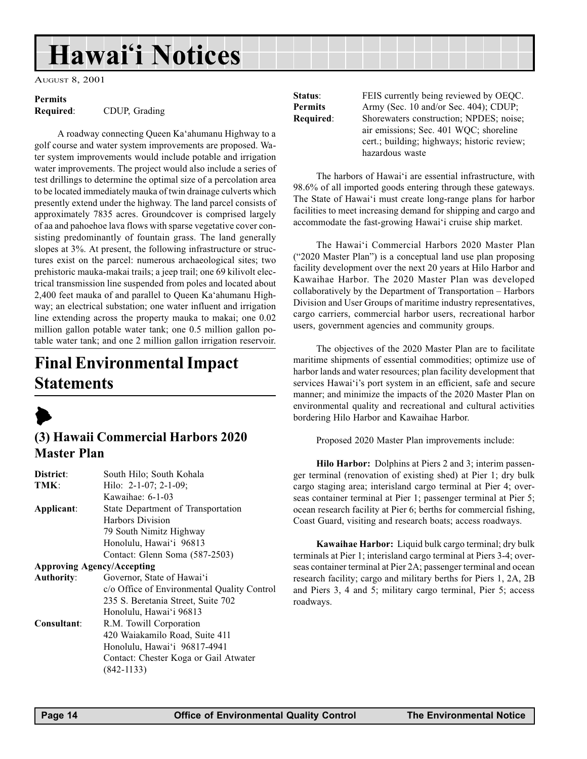# <span id="page-13-0"></span>Hawai'i Notices

AUGUST 8, 2001

## Permits

Required: CDUP, Grading

A roadway connecting Queen Ka'ahumanu Highway to a golf course and water system improvements are proposed. Water system improvements would include potable and irrigation water improvements. The project would also include a series of test drillings to determine the optimal size of a percolation area to be located immediately mauka of twin drainage culverts which presently extend under the highway. The land parcel consists of approximately 7835 acres. Groundcover is comprised largely of aa and pahoehoe lava flows with sparse vegetative cover consisting predominantly of fountain grass. The land generally slopes at 3%. At present, the following infrastructure or structures exist on the parcel: numerous archaeological sites; two prehistoric mauka-makai trails; a jeep trail; one 69 kilivolt electrical transmission line suspended from poles and located about 2,400 feet mauka of and parallel to Queen Ka'ahumanu Highway; an electrical substation; one water influent and irrigation line extending across the property mauka to makai; one 0.02 million gallon potable water tank; one 0.5 million gallon potable water tank; and one 2 million gallon irrigation reservoir.

## Final Environmental Impact **Statements**



### (3) Hawaii Commercial Harbors 2020 Master Plan

| District:         | South Hilo; South Kohala                    |  |  |  |  |  |  |
|-------------------|---------------------------------------------|--|--|--|--|--|--|
| TMK:              | Hilo: $2-1-07$ ; $2-1-09$ ;                 |  |  |  |  |  |  |
|                   | Kawaihae: $6-1-03$                          |  |  |  |  |  |  |
| Applicant:        | State Department of Transportation          |  |  |  |  |  |  |
|                   | Harbors Division                            |  |  |  |  |  |  |
|                   | 79 South Nimitz Highway                     |  |  |  |  |  |  |
|                   | Honolulu, Hawai'i 96813                     |  |  |  |  |  |  |
|                   | Contact: Glenn Soma (587-2503)              |  |  |  |  |  |  |
|                   | <b>Approving Agency/Accepting</b>           |  |  |  |  |  |  |
| <b>Authority:</b> | Governor, State of Hawai'i                  |  |  |  |  |  |  |
|                   | c/o Office of Environmental Quality Control |  |  |  |  |  |  |
|                   | 235 S. Beretania Street, Suite 702          |  |  |  |  |  |  |
|                   | Honolulu, Hawai'i 96813                     |  |  |  |  |  |  |
| Consultant:       | R.M. Towill Corporation                     |  |  |  |  |  |  |
|                   | 420 Waiakamilo Road, Suite 411              |  |  |  |  |  |  |
|                   | Honolulu, Hawai'i 96817-4941                |  |  |  |  |  |  |
|                   | Contact: Chester Koga or Gail Atwater       |  |  |  |  |  |  |
|                   | $(842 - 1133)$                              |  |  |  |  |  |  |

Status: FEIS currently being reviewed by OEQC. Permits Army (Sec. 10 and/or Sec. 404); CDUP; Required: Shorewaters construction; NPDES; noise; air emissions; Sec. 401 WQC; shoreline cert.; building; highways; historic review; hazardous waste

The harbors of Hawai'i are essential infrastructure, with 98.6% of all imported goods entering through these gateways. The State of Hawai'i must create long-range plans for harbor facilities to meet increasing demand for shipping and cargo and accommodate the fast-growing Hawai'i cruise ship market.

The Hawai'i Commercial Harbors 2020 Master Plan  $("2020 Master Plan")$  is a conceptual land use plan proposing facility development over the next 20 years at Hilo Harbor and Kawaihae Harbor. The 2020 Master Plan was developed collaboratively by the Department of Transportation – Harbors Division and User Groups of maritime industry representatives, cargo carriers, commercial harbor users, recreational harbor users, government agencies and community groups.

The objectives of the 2020 Master Plan are to facilitate maritime shipments of essential commodities; optimize use of harbor lands and water resources; plan facility development that services Hawai'i's port system in an efficient, safe and secure manner; and minimize the impacts of the 2020 Master Plan on environmental quality and recreational and cultural activities bordering Hilo Harbor and Kawaihae Harbor.

Proposed 2020 Master Plan improvements include:

Hilo Harbor: Dolphins at Piers 2 and 3; interim passenger terminal (renovation of existing shed) at Pier 1; dry bulk cargo staging area; interisland cargo terminal at Pier 4; overseas container terminal at Pier 1; passenger terminal at Pier 5; ocean research facility at Pier 6; berths for commercial fishing, Coast Guard, visiting and research boats; access roadways.

Kawaihae Harbor: Liquid bulk cargo terminal; dry bulk terminals at Pier 1; interisland cargo terminal at Piers 3-4; overseas container terminal at Pier 2A; passenger terminal and ocean research facility; cargo and military berths for Piers 1, 2A, 2B and Piers 3, 4 and 5; military cargo terminal, Pier 5; access roadways.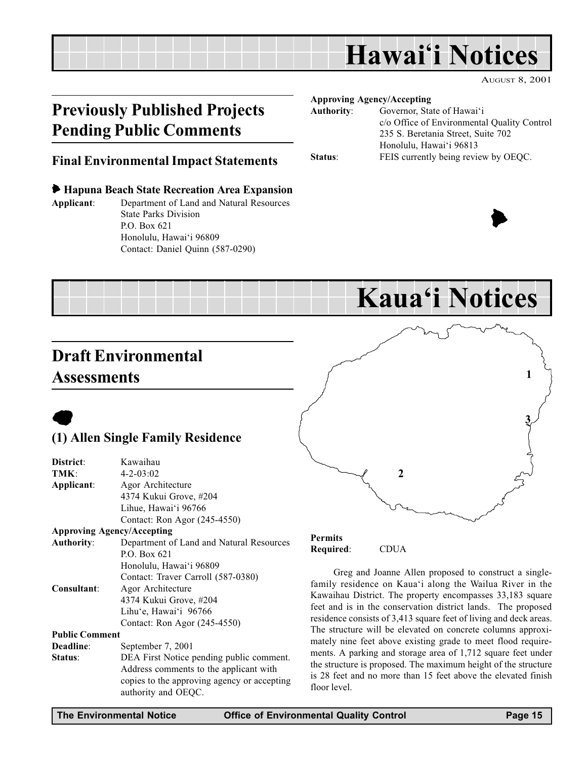## Hawai'i Notices

AUGUST 8, 2001

 $\blacktriangleright$ 

## <span id="page-14-0"></span>Previously Published Projects Pending Public Comments

#### Approving Agency/Accepting

| <b>Authority:</b> | Governor, State of Hawai'i                  |
|-------------------|---------------------------------------------|
|                   | c/o Office of Environmental Quality Control |
|                   | 235 S. Beretania Street, Suite 702          |
|                   | Honolulu, Hawai'i 96813                     |
| Status:           | FEIS currently being review by OEQC.        |
|                   |                                             |

### Final Environmental Impact Statements

#### 6 Hapuna Beach State Recreation Area Expansion

Applicant: Department of Land and Natural Resources State Parks Division P.O. Box 621 Honolulu, Hawai'i 96809 Contact: Daniel Quinn (587-0290)



## Draft Environmental Assessments



### (1) Allen Single Family Residence

| District:             | Kawaihau                                 |
|-----------------------|------------------------------------------|
| TMK:                  | $4 - 2 - 03:02$                          |
| Applicant:            | Agor Architecture                        |
|                       | 4374 Kukui Grove, #204                   |
|                       | Lihue, Hawai'i 96766                     |
|                       | Contact: Ron Agor (245-4550)             |
|                       | <b>Approving Agency/Accepting</b>        |
| <b>Authority:</b>     | Department of Land and Natural Resources |
|                       | P.O. Box $621$                           |
|                       | Honolulu, Hawai'i 96809                  |
|                       | Contact: Traver Carroll (587-0380)       |
| Consultant:           | Agor Architecture                        |
|                       | 4374 Kukui Grove, #204                   |
|                       | Lihu'e, Hawai'i 96766                    |
|                       | Contact: Ron Agor (245-4550)             |
| <b>Public Comment</b> |                                          |
| Deadline:             | September 7, 2001                        |
| Status:               | DEA First Notice pending public comment. |

Status: DEA First Notice pending public comment. Address comments to the applicant with copies to the approving agency or accepting authority and OEQC.



Permits Required: CDUA

Greg and Joanne Allen proposed to construct a singlefamily residence on Kaua'i along the Wailua River in the Kawaihau District. The property encompasses 33,183 square feet and is in the conservation district lands. The proposed residence consists of 3,413 square feet of living and deck areas. The structure will be elevated on concrete columns approximately nine feet above existing grade to meet flood requirements. A parking and storage area of 1,712 square feet under the structure is proposed. The maximum height of the structure is 28 feet and no more than 15 feet above the elevated finish floor level.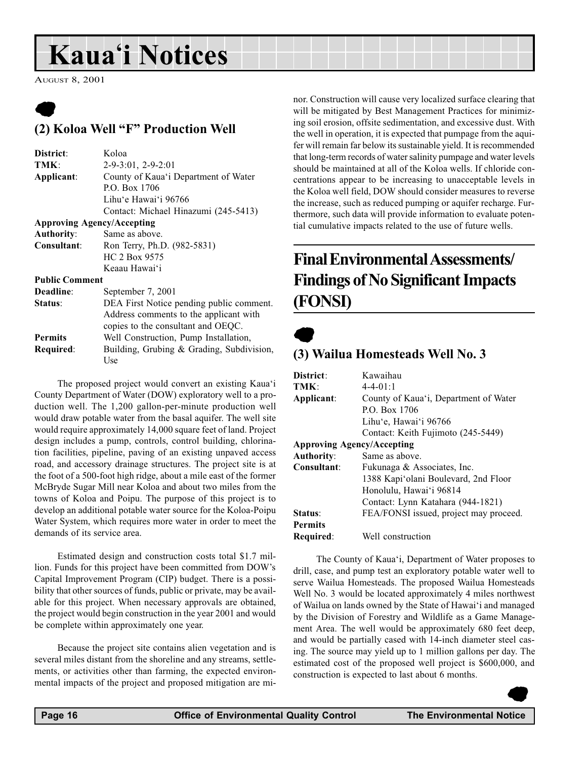# <span id="page-15-0"></span>**Kaua'i Notices**

AUGUST 8, 2001

### $\bullet$ (2) Koloa Well "F" Production Well

| Koloa                                     |  |  |  |  |  |  |  |
|-------------------------------------------|--|--|--|--|--|--|--|
| $2-9-3:01$ , $2-9-2:01$                   |  |  |  |  |  |  |  |
| County of Kaua'i Department of Water      |  |  |  |  |  |  |  |
| P.O. Box 1706                             |  |  |  |  |  |  |  |
| Lihu'e Hawai'i 96766                      |  |  |  |  |  |  |  |
| Contact: Michael Hinazumi (245-5413)      |  |  |  |  |  |  |  |
| <b>Approving Agency/Accepting</b>         |  |  |  |  |  |  |  |
| Same as above.                            |  |  |  |  |  |  |  |
| Ron Terry, Ph.D. (982-5831)               |  |  |  |  |  |  |  |
| HC 2 Box 9575                             |  |  |  |  |  |  |  |
| Keaau Hawai'i                             |  |  |  |  |  |  |  |
| <b>Public Comment</b>                     |  |  |  |  |  |  |  |
| September 7, 2001                         |  |  |  |  |  |  |  |
| DEA First Notice pending public comment.  |  |  |  |  |  |  |  |
| Address comments to the applicant with    |  |  |  |  |  |  |  |
| copies to the consultant and OEQC.        |  |  |  |  |  |  |  |
| Well Construction, Pump Installation,     |  |  |  |  |  |  |  |
| Building, Grubing & Grading, Subdivision, |  |  |  |  |  |  |  |
| Use                                       |  |  |  |  |  |  |  |
|                                           |  |  |  |  |  |  |  |

The proposed project would convert an existing Kaua'i County Department of Water (DOW) exploratory well to a production well. The 1,200 gallon-per-minute production well would draw potable water from the basal aquifer. The well site would require approximately 14,000 square feet of land. Project design includes a pump, controls, control building, chlorination facilities, pipeline, paving of an existing unpaved access road, and accessory drainage structures. The project site is at the foot of a 500-foot high ridge, about a mile east of the former McBryde Sugar Mill near Koloa and about two miles from the towns of Koloa and Poipu. The purpose of this project is to develop an additional potable water source for the Koloa-Poipu Water System, which requires more water in order to meet the demands of its service area.

Estimated design and construction costs total \$1.7 million. Funds for this project have been committed from DOW's Capital Improvement Program (CIP) budget. There is a possibility that other sources of funds, public or private, may be available for this project. When necessary approvals are obtained, the project would begin construction in the year 2001 and would be complete within approximately one year.

Because the project site contains alien vegetation and is several miles distant from the shoreline and any streams, settlements, or activities other than farming, the expected environmental impacts of the project and proposed mitigation are minor. Construction will cause very localized surface clearing that will be mitigated by Best Management Practices for minimizing soil erosion, offsite sedimentation, and excessive dust. With the well in operation, it is expected that pumpage from the aquifer will remain far below its sustainable yield. It is recommended that long-term records of water salinity pumpage and water levels should be maintained at all of the Koloa wells. If chloride concentrations appear to be increasing to unacceptable levels in the Koloa well field, DOW should consider measures to reverse the increase, such as reduced pumping or aquifer recharge. Furthermore, such data will provide information to evaluate potential cumulative impacts related to the use of future wells.

## Final Environmental Assessments/ Findings of No Significant Impacts (FONSI)

## $\bullet$

### (3) Wailua Homesteads Well No. 3

| District:                         | Kawaihau                               |
|-----------------------------------|----------------------------------------|
| TMK:                              | $4 - 4 - 01:1$                         |
| Applicant:                        | County of Kaua'i, Department of Water  |
|                                   | P.O. Box 1706                          |
|                                   | Lihu'e, Hawai'i 96766                  |
|                                   | Contact: Keith Fujimoto (245-5449)     |
| <b>Approving Agency/Accepting</b> |                                        |
| <b>Authority:</b>                 | Same as above.                         |
| Consultant:                       | Fukunaga & Associates, Inc.            |
|                                   | 1388 Kapi'olani Boulevard, 2nd Floor   |
|                                   | Honolulu, Hawai'i 96814                |
|                                   | Contact: Lynn Katahara (944-1821)      |
| Status:                           | FEA/FONSI issued, project may proceed. |
| <b>Permits</b>                    |                                        |
| Required:                         | Well construction                      |

The County of Kaua'i, Department of Water proposes to drill, case, and pump test an exploratory potable water well to serve Wailua Homesteads. The proposed Wailua Homesteads Well No. 3 would be located approximately 4 miles northwest of Wailua on lands owned by the State of Hawai'i and managed by the Division of Forestry and Wildlife as a Game Management Area. The well would be approximately 680 feet deep, and would be partially cased with 14-inch diameter steel casing. The source may yield up to 1 million gallons per day. The estimated cost of the proposed well project is \$600,000, and construction is expected to last about 6 months.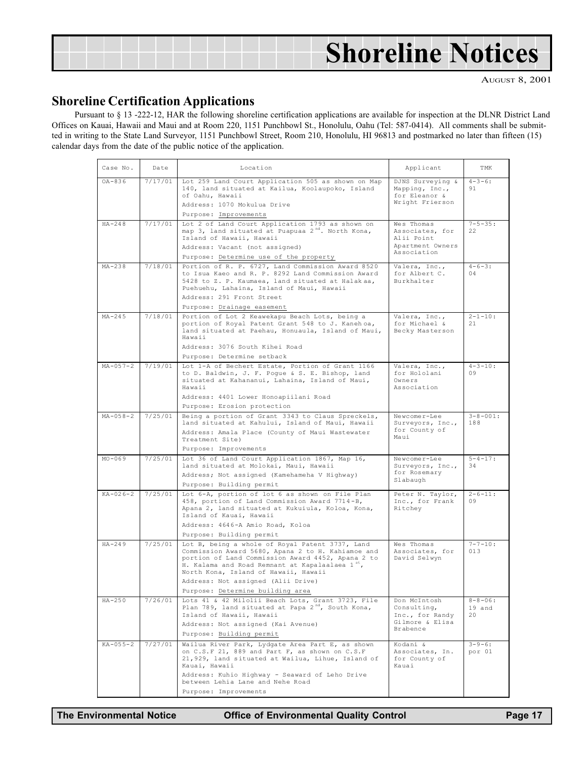|  |  |  |  |  |  |  |  |  | <b>Shoreline Notices</b> |  |  |  |  |  |
|--|--|--|--|--|--|--|--|--|--------------------------|--|--|--|--|--|
|  |  |  |  |  |  |  |  |  |                          |  |  |  |  |  |

AUGUST 8, 2001

### Shoreline Certification Applications

Pursuant to § 13 -222-12, HAR the following shoreline certification applications are available for inspection at the DLNR District Land Offices on Kauai, Hawaii and Maui and at Room 220, 1151 Punchbowl St., Honolulu, Oahu (Tel: 587-0414). All comments shall be submitted in writing to the State Land Surveyor, 1151 Punchbowl Street, Room 210, Honolulu, HI 96813 and postmarked no later than fifteen (15) calendar days from the date of the public notice of the application.

| Case No.       | Date    | Location                                                                                                                                                                                                                                                                                                                      | Applicant                                                                      | TMK                           |
|----------------|---------|-------------------------------------------------------------------------------------------------------------------------------------------------------------------------------------------------------------------------------------------------------------------------------------------------------------------------------|--------------------------------------------------------------------------------|-------------------------------|
| $OA - 836$     | 7/17/01 | Lot 259 Land Court Application 505 as shown on Map<br>140, land situated at Kailua, Koolaupoko, Island<br>of Oahu, Hawaii<br>Address: 1070 Mokulua Drive<br>Purpose: Improvements                                                                                                                                             | DJNS Surveying &<br>Mapping, Inc.,<br>for Eleanor &<br>Wright Frierson         | $4 - 3 - 6:$<br>91            |
| $HA - 248$     | 7/17/01 | Lot 2 of Land Court Application 1793 as shown on<br>map 3, land situated at Puapuaa 2 <sup>nd</sup> . North Kona,<br>Island of Hawaii, Hawaii<br>Address: Vacant (not assigned)<br>Purpose: Determine use of the property                                                                                                     | Wes Thomas<br>Associates, for<br>Alii Point<br>Apartment Owners<br>Association | $7 - 5 - 35:$<br>22           |
| $MA-238$       | 7/18/01 | Portion of R. P. 6727, Land Commission Award 8520<br>to Isua Kaeo and R. P. 8292 Land Commission Award<br>5428 to Z. P. Kaumaea, land situated at Halakaa,<br>Puehuehu, Lahaina, Island of Maui, Hawaii<br>Address: 291 Front Street<br>Purpose: Drainage easement                                                            | Valera, Inc.,<br>for Albert C.<br>Burkhalter                                   | $4 - 6 - 3:$<br>04            |
| $MA - 245$     | 7/18/01 | Portion of Lot 2 Keawekapu Beach Lots, being a<br>portion of Royal Patent Grant 548 to J. Kanehoa,<br>land situated at Paehau, Honuaula, Island of Maui,<br>Hawaii<br>Address: 3076 South Kihei Road<br>Purpose: Determine setback                                                                                            | Valera, Inc.,<br>for Michael &<br>Becky Masterson                              | $2 - 1 - 10:$<br>21           |
| $MA - 057 - 2$ | 7/19/01 | Lot 1-A of Bechert Estate, Portion of Grant 1166<br>to D. Baldwin, J. F. Pogue & S. E. Bishop, land<br>situated at Kahananui, Lahaina, Island of Maui,<br>Hawaii<br>Address: 4401 Lower Honoapiilani Road<br>Purpose: Erosion protection                                                                                      | Valera, Inc.,<br>for Hololani<br>Owners<br>Association                         | $4 - 3 - 10:$<br>09           |
| $MA - 058 - 2$ | 7/25/01 | Being a portion of Grant 3343 to Claus Spreckels,<br>land situated at Kahului, Island of Maui, Hawaii<br>Address: Amala Place (County of Maui Wastewater<br>Treatment Site)<br>Purpose: Improvements                                                                                                                          | Newcomer-Lee<br>Surveyors, Inc.,<br>for County of<br>Maui                      | $3 - 8 - 001:$<br>188         |
| $MO - 069$     | 7/25/01 | Lot 36 of Land Court Application 1867, Map 16,<br>land situated at Molokai, Maui, Hawaii<br>Address; Not assigned (Kamehameha V Highway)<br>Purpose: Building permit                                                                                                                                                          | Newcomer-Lee<br>Surveyors, Inc.,<br>for Rosemary<br>Slabaugh                   | $5 - 4 - 17:$<br>34           |
| $KA - 026 - 2$ | 7/25/01 | Lot 6-A, portion of lot 6 as shown on File Plan<br>458, portion of Land Commission Award 7714-B,<br>Apana 2, land situated at Kukuiula, Koloa, Kona,<br>Island of Kauai, Hawaii<br>Address: 4646-A Amio Road, Koloa<br>Purpose: Building permit                                                                               | Peter N. Taylor,<br>Inc., for Frank<br>Ritchey                                 | $2 - 6 - 11:$<br>09           |
| $HA-249$       | 7/25/01 | Lot B, being a whole of Royal Patent 3737, Land<br>Commission Award 5680, Apana 2 to H. Kahiamoe and<br>portion of Land Commission Award 4452, Apana 2 to<br>H. Kalama and Road Remnant at Kapalaalaea 1st,<br>North Kona, Island of Hawaii, Hawaii<br>Address: Not assigned (Alii Drive)<br>Purpose: Determine building area | Wes Thomas<br>Associates, for<br>David Selwyn                                  | $7 - 7 - 10:$<br>013          |
| $HA - 250$     | 7/26/01 | Lots 41 & 42 Milolii Beach Lots, Grant 3723, File<br>Plan 789, land situated at Papa 2 <sup>nd</sup> , South Kona,<br>Island of Hawaii, Hawaii<br>Address: Not assigned (Kai Avenue)<br>Purpose: Building permit                                                                                                              | Don McIntosh<br>Consulting,<br>Inc., for Randy<br>Gilmore & Elisa<br>Brabence  | $8 - 8 - 06:$<br>19 and<br>20 |
| $KA - 055 - 2$ | 7/27/01 | Wailua River Park, Lydgate Area Part E, as shown<br>on C.S.F 21, 889 and Part F, as shown on C.S.F<br>21,929, land situated at Wailua, Lihue, Island of<br>Kauai, Hawaii<br>Address: Kuhio Highway - Seaward of Leho Drive<br>between Lehia Lane and Nehe Road<br>Purpose: Improvements                                       | Kodani &<br>Associates, In.<br>for County of<br>Kauai                          | $3 - 9 - 6:$<br>por 01        |

The Environmental Notice **Office of Environmental Quality Control** Page 17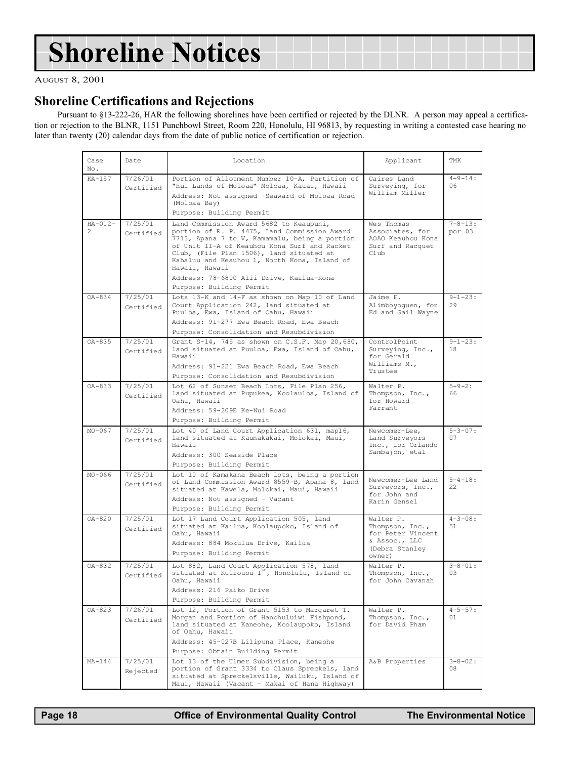# <span id="page-17-0"></span>Shoreline Notices

AUGUST 8, 2001

### Shoreline Certifications and Rejections

Pursuant to §13-222-26, HAR the following shorelines have been certified or rejected by the DLNR. A person may appeal a certification or rejection to the BLNR, 1151 Punchbowl Street, Room 220, Honolulu, HI 96813, by requesting in writing a contested case hearing no later than twenty (20) calendar days from the date of public notice of certification or rejection.

| Case<br>No.       | Date                 | Location                                                                                                                                                                                                                                                                                                                                           | Applicant                                                                                      | TMK                     |
|-------------------|----------------------|----------------------------------------------------------------------------------------------------------------------------------------------------------------------------------------------------------------------------------------------------------------------------------------------------------------------------------------------------|------------------------------------------------------------------------------------------------|-------------------------|
| KA-157            | 7/26/01<br>Certified | Portion of Allotment Number 10-A, Partition of<br>"Hui Lands of Moloaa" Moloaa, Kauai, Hawaii<br>Address: Not assigned -Seaward of Moloaa Road<br>(Moloaa Bay)<br>Purpose: Building Permit                                                                                                                                                         | Caires Land<br>Surveying, for<br>William Miller                                                | $4 - 9 - 14:$<br>06     |
| $HA - 012 -$<br>2 | 7/25/01<br>Certified | Land Commission Award 5682 to Keaupuni,<br>portion of R. P. 4475, Land Commission Award<br>7713, Apana 7 to V, Kamamalu, being a portion<br>of Unit II-A of Keauhou Kona Surf and Racket<br>Club, (File Plan 1506), land situated at<br>Kahaluu and Keauhou 1, North Kona, Island of<br>Hawaii, Hawaii<br>Address: 78-6800 Alii Drive, Kailua-Kona | Wes Thomas<br>Associates, for<br>AOAO Keauhou Kona<br>Surf and Racquet<br>Club                 | $7 - 8 - 13:$<br>por 03 |
|                   |                      | Purpose: Building Permit                                                                                                                                                                                                                                                                                                                           |                                                                                                |                         |
| $OA - 834$        | 7/25/01<br>Certified | Lots 13-K and 14-F as shown on Map 10 of Land<br>Court Application 242, land situated at<br>Puuloa, Ewa, Island of Oahu, Hawaii<br>Address: 91-277 Ewa Beach Road, Ewa Beach                                                                                                                                                                       | Jaime F.<br>Alimboyoguen, for<br>Ed and Gail Wayne                                             | $9 - 1 - 23:$<br>29     |
| OA-835            | 7/25/01<br>Certified | Purpose: Consolidation and Resubdivision<br>Grant S-14, 745 as shown on C.S.F. Map 20,680,<br>land situated at Puuloa, Ewa, Island of Oahu,<br>Hawaii<br>Address: 91-221 Ewa Beach Road, Ewa Beach<br>Purpose: Consolidation and Resubdivision                                                                                                     | ControlPoint<br>Surveying, Inc.,<br>for Gerald<br>Williams M.,<br>Trustee                      | $9 - 1 - 23:$<br>18     |
| $OA - 833$        | 7/25/01<br>Certified | Lot 62 of Sunset Beach Lots, File Plan 256,<br>land situated at Pupukea, Koolauloa, Island of<br>Oahu, Hawaii<br>Address: 59-209E Ke-Nui Road<br>Purpose: Building Permit                                                                                                                                                                          | Walter P.<br>Thompson, Inc.,<br>for Howard<br>Farrant                                          | $5 - 9 - 2:$<br>66      |
| $MO-067$          | 7/25/01<br>Certified | Lot 40 of Land Court Application 631, map16,<br>land situated at Kaunakakai, Molokai, Maui,<br>Hawaii<br>Address: 300 Seaside Place<br>Purpose: Building Permit                                                                                                                                                                                    | Newcomer-Lee,<br>Land Surveyors<br>Inc., for Orlando<br>Sambajon, etal                         | $5 - 3 - 07:$<br>07     |
| $MO-066$          | 7/25/01<br>Certified | Lot 10 of Kamakana Beach Lots, being a portion<br>of Land Commission Award 8559-B, Apana 8, land<br>situated at Kawela, Molokai, Maui, Hawaii<br>Address: Not assigned - Vacant<br>Purpose: Building Permit                                                                                                                                        | Newcomer-Lee Land<br>Surveyors, Inc.,<br>for John and<br>Karin Gensel                          | $5 - 4 - 18:$<br>22     |
| $OA - 820$        | 7/25/01<br>Certified | Lot 17 Land Court Application 505, land<br>situated at Kailua, Koolaupoko, Island of<br>Oahu, Hawaii<br>Address: 884 Mokulua Drive, Kailua<br>Purpose: Building Permit                                                                                                                                                                             | Walter P.<br>Thompson, Inc.,<br>for Peter Vincent<br>& Assoc., LLC<br>(Debra Stanley<br>owner) | $4 - 3 - 08:$<br>51     |
| OA-832            | 7/25/01<br>Certified | Lot 882, Land Court Application 578, land<br>situated at Kuliouou l <sup>3t</sup> , Honolulu, Island of<br>Oahu, Hawaii<br>Address: 216 Paiko Drive<br>Purpose: Building Permit                                                                                                                                                                    | Walter P.<br>Thompson, Inc.,<br>for John Cavanah                                               | $3 - 8 - 01$ :<br>03    |
| $OA - 823$        | 7/26/01<br>Certified | Lot 12, Portion of Grant 5153 to Margaret T.<br>Morgan and Portion of Hanohuluiwi Fishpond,<br>land situated at Kaneohe, Koolaupoko, Island<br>of Oahu, Hawaii<br>Address: 45-027B Lilipuna Place, Kaneohe<br>Purpose: Obtain Building Permit                                                                                                      | Walter P.<br>Thompson, Inc.,<br>for David Pham                                                 | $4 - 5 - 57:$<br>01     |
| $MA-144$          | 7/25/01<br>Rejected  | Lot 13 of the Ulmer Subdivision, being a<br>portion of Grant 3334 to Claus Spreckels, land<br>situated at Spreckelsville, Wailuku, Island of<br>Maui, Hawaii (Vacant - Makai of Hana Highway)                                                                                                                                                      | A&B Properties                                                                                 | $3 - 8 - 02:$<br>08     |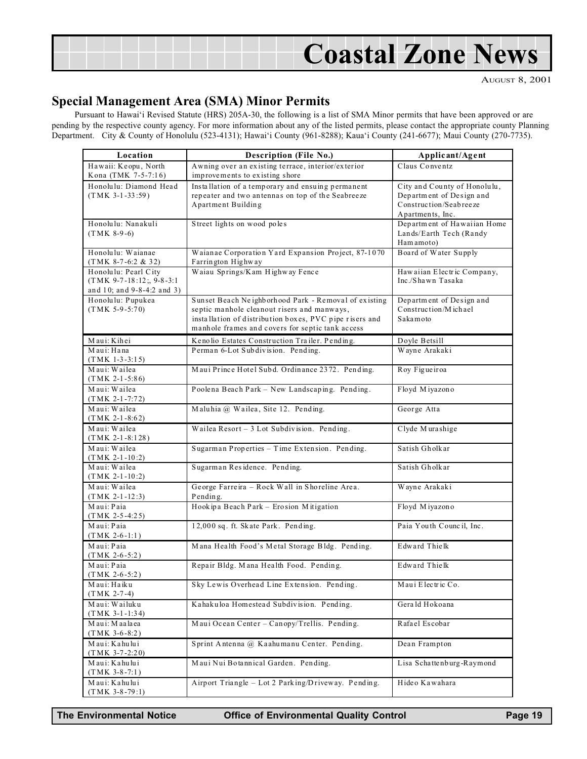<span id="page-18-0"></span>

AUGUST 8, 2001

### Special Management Area (SMA) Minor Permits

Pursuant to Hawai'i Revised Statute (HRS) 205A-30, the following is a list of SMA Minor permits that have been approved or are pending by the respective county agency. For more information about any of the listed permits, please contact the appropriate county Planning Department. City & County of Honolulu (523-4131); Hawai'i County (961-8288); Kaua'i County (241-6677); Maui County (270-7735).

| Location                                                                         | <b>Description (File No.)</b>                                                                                                                              | Applicant/Agent                                                                    |  |  |  |
|----------------------------------------------------------------------------------|------------------------------------------------------------------------------------------------------------------------------------------------------------|------------------------------------------------------------------------------------|--|--|--|
| Hawaii: Keopu, North                                                             | Awning over an existing terrace, interior/exterior                                                                                                         | Claus Conventz                                                                     |  |  |  |
| Kona (TMK 7-5-7:16)                                                              | improvements to existing shore                                                                                                                             |                                                                                    |  |  |  |
| Honolulu: Diamond Head<br>$(TMK 3-1-33:59)$                                      | Installation of a temporary and ensuing permanent<br>repeater and two antennas on top of the Seabreeze<br>Apartment Building                               | City and County of Honolulu,<br>Department of Design and<br>Construction/Seabreeze |  |  |  |
|                                                                                  |                                                                                                                                                            | Apartments, Inc.                                                                   |  |  |  |
| Honolulu: Nanakuli<br>$(TMK 8-9-6)$                                              | Street lights on wood poles                                                                                                                                | Department of Hawaiian Home<br>Lands/Earth Tech (Randy<br>Ham amoto)               |  |  |  |
| Honolulu: Waianae<br>$(TMK 8-7-6:2 & 32)$                                        | Waianae Corporation Yard Expansion Project, 87-1070<br>Farrington Highway                                                                                  | Board of Water Supply                                                              |  |  |  |
| Honolulu: Pearl City<br>$(TMK 9-7-18:12; 9-8-3:1)$<br>and 10; and 9-8-4:2 and 3) | Waiau Springs/Kam Highway Fence                                                                                                                            | Hawaiian Electric Company,<br>Inc./Shawn Tasaka                                    |  |  |  |
| Honolulu: Pupukea                                                                | Sunset Beach Neighborhood Park - Removal of existing                                                                                                       | Department of Design and                                                           |  |  |  |
| $(TMK 5-9-5:70)$                                                                 | septic manhole cleanout risers and manways,<br>installation of distribution boxes, PVC pipe risers and<br>manhole frames and covers for septic tank access | Construction/Michael<br>Sakamoto                                                   |  |  |  |
| Maui: Kihei                                                                      | Kenolio Estates Construction Trailer. Pending.                                                                                                             | Doyle Betsill                                                                      |  |  |  |
| Maui: Hana<br>$(TMK 1-3-3:15)$                                                   | Perman 6-Lot Subdivision. Pending.                                                                                                                         | Wayne Arakaki                                                                      |  |  |  |
| Maui: Wailea<br>$(TMK 2-1-5:86)$                                                 | Maui Prince Hotel Subd. Ordinance 2372. Pending.                                                                                                           | Roy Figueiroa                                                                      |  |  |  |
| Maui: Wailea<br>$(TMK 2-1-7:72)$                                                 | Poolena Beach Park - New Landscaping. Pending.                                                                                                             | Floyd Miyazono                                                                     |  |  |  |
| Maui: Wailea<br>$(TMK 2-1-8:62)$                                                 | Maluhia @ Wailea, Site 12. Pending.                                                                                                                        | George Atta                                                                        |  |  |  |
| Maui: Wailea<br>$(TMK 2-1-8:128)$                                                | Wailea Resort - 3 Lot Subdivision. Pending.                                                                                                                | Clyde Murashige                                                                    |  |  |  |
| Maui: Wailea<br>$(TMK 2-1-10:2)$                                                 | Sugarman Properties - Time Extension. Pending.                                                                                                             | Satish Gholkar                                                                     |  |  |  |
| Maui: Wailea<br>$(TMK 2-1-10:2)$                                                 | Sugarman Residence. Pending.                                                                                                                               | Satish Gholkar                                                                     |  |  |  |
| Maui: Wailea<br>$(TMK 2-1-12:3)$                                                 | George Farreira - Rock Wall in Shoreline Area.<br>Pending.                                                                                                 | Wayne Arakaki                                                                      |  |  |  |
| Maui: Paia<br>$(TMK 2-5-4:25)$                                                   | Hookipa Beach Park - Erosion Mitigation                                                                                                                    | Floyd Miyazono                                                                     |  |  |  |
| Maui: Paia<br>$(TMK 2-6-1:1)$                                                    | 12,000 sq. ft. Skate Park. Pending.                                                                                                                        | Paia Youth Council, Inc.                                                           |  |  |  |
| Maui: Paia<br>$(TMK 2-6-5:2)$                                                    | Mana Health Food's Metal Storage Bldg. Pending.                                                                                                            | Edward Thielk                                                                      |  |  |  |
| Maui: Paia<br>$(TMK 2-6-5:2)$                                                    | Repair Bldg. Mana Health Food. Pending.                                                                                                                    | Edward Thielk                                                                      |  |  |  |
| Maui: Haiku<br>$(TMK 2-7-4)$                                                     | Sky Lewis Overhead Line Extension. Pending.                                                                                                                | Maui Electric Co.                                                                  |  |  |  |
| Maui: Wailuku<br>$(TMK 3-1-1:34)$                                                | Kahakuloa Homestead Subdivision. Pending.                                                                                                                  | Gerald Hokoana                                                                     |  |  |  |
| Maui: Maalaea<br>$(TMK 3-6-8:2)$                                                 | Maui Ocean Center - Canopy/Trellis. Pending.                                                                                                               | Rafael Escobar                                                                     |  |  |  |
| Maui: Kahului<br>$(TMK 3-7-2:20)$                                                | Sprint Antenna @ Kaahumanu Center. Pending.                                                                                                                | Dean Frampton                                                                      |  |  |  |
| Maui: Kahului<br>$(TMK 3-8-7:1)$                                                 | Maui Nui Botannical Garden. Pending.                                                                                                                       | Lisa Schattenburg-Raymond                                                          |  |  |  |
| Maui: Kahului<br>$(TMK 3-8-79:1)$                                                | Airport Triangle - Lot 2 Parking/Driveway. Pending.                                                                                                        | Hideo Kawahara                                                                     |  |  |  |

The Environmental Notice Office of Environmental Quality Control Page 19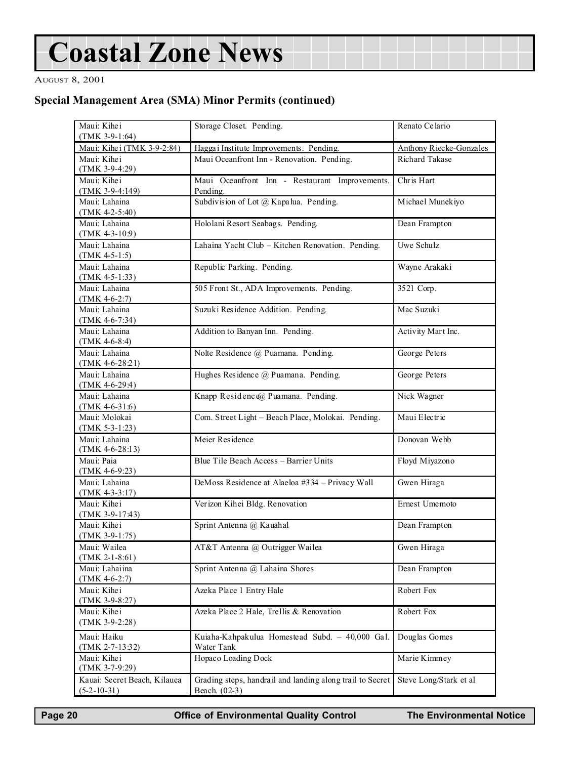# Coastal Zone News

#### AUGUST 8, 2001

### Special Management Area (SMA) Minor Permits (continued)

| Maui: Kihei<br>$(TMK 3-9-1:64)$ | Storage Closet. Pending.                                  | Renato Celario          |  |  |
|---------------------------------|-----------------------------------------------------------|-------------------------|--|--|
| Maui: Kihei (TMK 3-9-2:84)      | Hagga i Institute Improvements. Pending.                  | Anthony Riecke-Gonzales |  |  |
| Maui: Kihei                     | Maui Oceanfront Inn - Renovation. Pending.                | Richard Takase          |  |  |
| $(TMK 3-9-4:29)$                |                                                           |                         |  |  |
| Maui: Kihei                     | Maui Oceanfront Inn - Restaurant Improvements.            | Chr is Hart             |  |  |
| $(TMK 3-9-4:149)$               | Pending.                                                  |                         |  |  |
| Maui: Lahaina                   | Subdivision of Lot @ Kapalua. Pending.                    | Michael Munekiyo        |  |  |
| $(TMK 4-2-5:40)$                |                                                           |                         |  |  |
| Maui: Lahaina                   | Hololani Resort Seabags. Pending.                         | Dean Frampton           |  |  |
| $(TMK 4-3-10.9)$                |                                                           |                         |  |  |
| Maui: Lahaina                   | Lahaina Yacht Club - Kitchen Renovation. Pending.         | Uwe Schulz              |  |  |
| $(TMK 4-5-1:5)$                 |                                                           |                         |  |  |
| Maui: Lahaina                   | Republic Parking. Pending.                                | Wayne Arakaki           |  |  |
| $(TMK 4-5-1:33)$                |                                                           |                         |  |  |
| Maui: Lahaina                   | 505 Front St., ADA Improvements. Pending.                 | 3521 Corp.              |  |  |
| $(TMK 4-6-2:7)$                 |                                                           |                         |  |  |
| Maui: Lahaina                   | Suzuki Residence Addition. Pending.                       | Mac Suzuki              |  |  |
| $(TMK 4-6-7:34)$                |                                                           |                         |  |  |
| Maui: Lahaina                   | Addition to Banyan Inn. Pending.                          | Activity Mart Inc.      |  |  |
| $(TMK 4-6-8:4)$                 |                                                           |                         |  |  |
| Maui: Lahaina                   | Nolte Residence @ Puamana. Pending.                       | George Peters           |  |  |
| $(TMK 4-6-28:21)$               |                                                           |                         |  |  |
| Maui: Lahaina                   | Hughes Residence @ Puamana. Pending.                      | George Peters           |  |  |
| $(TMK 4-6-29:4)$                |                                                           |                         |  |  |
| Maui: Lahaina                   | Knapp Residence@ Puamana. Pending.                        | Nick Wagner             |  |  |
| $(TMK 4-6-31:6)$                |                                                           |                         |  |  |
| Maui: Molokai                   | Com. Street Light - Beach Place, Molokai. Pending.        | Maui Electric           |  |  |
| $(TMK 5-3-1:23)$                |                                                           |                         |  |  |
| Maui: Lahaina                   | Meier Residence                                           | Donovan Webb            |  |  |
| $(TMK 4-6-28:13)$               |                                                           |                         |  |  |
| Maui: Paia                      | Blue Tile Beach Access - Barrier Units                    | Floyd Miyazono          |  |  |
| $(TMK 4-6-9:23)$                |                                                           |                         |  |  |
| Maui: Lahaina                   | DeMoss Residence at Alaeloa #334 - Privacy Wall           | Gwen Hiraga             |  |  |
| $(TMK 4-3-3:17)$                |                                                           |                         |  |  |
| Maui: Kihei                     | Verizon Kihei Bldg. Renovation                            | Ernest Umemoto          |  |  |
| (TMK 3-9-17:43)                 |                                                           |                         |  |  |
| Maui: Kihei                     | Sprint Antenna @ Kauahal                                  | Dean Frampton           |  |  |
| $(TMK 3-9-1:75)$                |                                                           |                         |  |  |
| Maui: Wailea                    | AT&T Antenna @ Outrigger Wailea                           | Gwen Hiraga             |  |  |
| $(TMK 2-1-8:61)$                |                                                           |                         |  |  |
| Maui: Lahaiina                  | Sprint Antenna @ Lahaina Shores                           | Dean Frampton           |  |  |
| $(TMK 4-6-2:7)$                 |                                                           |                         |  |  |
| Maui: Kihei                     | Azeka Place 1 Entry Hale                                  | Robert Fox              |  |  |
| $(TMK 3-9-8:27)$                |                                                           |                         |  |  |
| Maui: Kihei                     | Azeka Place 2 Hale, Trellis & Renovation                  | Robert Fox              |  |  |
| $(TMK 3-9-2:28)$                |                                                           |                         |  |  |
| Maui: Haiku                     | Kuiaha-Kahpakulua Homestead Subd. - 40,000 Gal.           | Douglas Gomes           |  |  |
| $(TMK 2-7-13:32)$               | Water Tank                                                |                         |  |  |
| Maui: Kihei                     | Hopaco Loading Dock                                       | Marie Kimmey            |  |  |
| $(TMK 3-7-9:29)$                |                                                           |                         |  |  |
| Kauai: Secret Beach, Kilauea    | Grading steps, handrail and landing along trail to Secret | Steve Long/Stark et al  |  |  |
| $(5-2-10-31)$                   | Beach. (02-3)                                             |                         |  |  |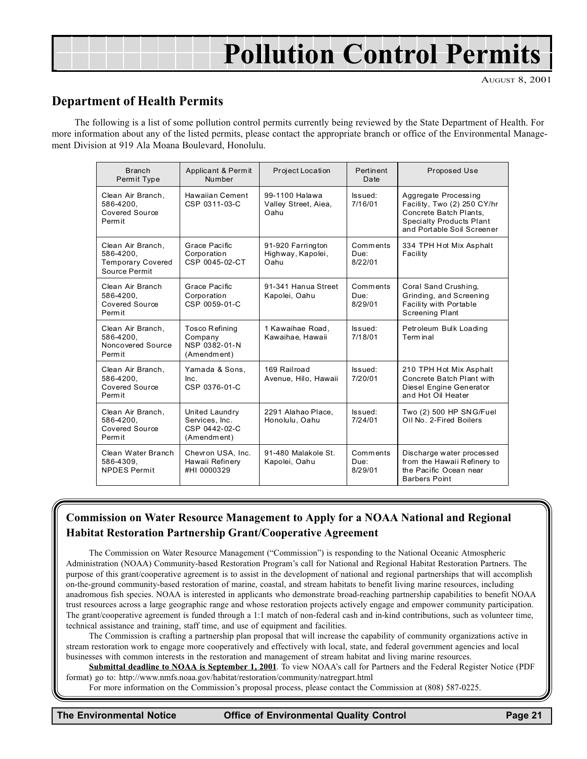# Pollution Control Permits

AUGUST 8, 2001

### Department of Health Permits

The following is a list of some pollution control permits currently being reviewed by the State Department of Health. For more information about any of the listed permits, please contact the appropriate branch or office of the Environmental Management Division at 919 Ala Moana Boulevard, Honolulu.

| <b>Branch</b><br>Permit Type                                                | Applicant & Permit<br>Number                                     | Project Location                               | Pertinent<br>Date           | Proposed Use                                                                                                                                   |
|-----------------------------------------------------------------------------|------------------------------------------------------------------|------------------------------------------------|-----------------------------|------------------------------------------------------------------------------------------------------------------------------------------------|
| Clean Air Branch,<br>586-4200,<br>Covered Source<br>Permit                  | <b>Hawaiian Cement</b><br>CSP 0311-03-C                          | 99-1100 Halawa<br>Valley Street, Aiea,<br>Oahu | Issued:<br>7/16/01          | Aggregate Processing<br>Facility, Two (2) 250 CY/hr<br>Concrete Batch Plants,<br><b>Specialty Products Plant</b><br>and Portable Soil Screener |
| Clean Air Branch.<br>586-4200,<br><b>Temporary Covered</b><br>Source Permit | Grace Pacific<br>Corporation<br>CSP 0045-02-CT                   | 91-920 Farrington<br>Highway, Kapolei,<br>Oahu | Comments<br>Due:<br>8/22/01 | 334 TPH Hot Mix Asphalt<br>Facility                                                                                                            |
| Clean Air Branch<br>586-4200.<br>Covered Source<br>Permit                   | Grace Pacific<br>Corporation<br>CSP 0059-01-C                    | 91-341 Hanua Street<br>Kapolei, Oahu           | Comments<br>Due:<br>8/29/01 | Coral Sand Crushing,<br>Grinding, and Screening<br>Facility with Portable<br><b>Screening Plant</b>                                            |
| Clean Air Branch,<br>586-4200.<br>Noncovered Source<br>Permit               | <b>Tosco Refining</b><br>Company<br>NSP 0382-01-N<br>(Amendment) | 1 Kawaihae Road,<br>Kawaihae, Hawaii           | Issued:<br>7/18/01          | Petroleum Bulk Loading<br>Term in al                                                                                                           |
| Clean Air Branch,<br>586-4200.<br>Covered Source<br>Permit                  | Yamada & Sons.<br>Inc.<br>CSP 0376-01-C                          | 169 Railroad<br>Avenue, Hilo, Hawaii           | Issued:<br>7/20/01          | 210 TPH Hot Mix Asphalt<br>Concrete Batch Plant with<br>Diesel Engine Generator<br>and Hot Oil Heater                                          |
| Clean Air Branch.<br>586-4200,<br>Covered Source<br>Permit                  | United Laundry<br>Services, Inc.<br>CSP 0442-02-C<br>(Amendment) | 2291 Alahao Place.<br>Honolulu, Oahu           | Issued:<br>7/24/01          | Two (2) 500 HP SNG/Fuel<br>Oil No. 2-Fired Boilers                                                                                             |
| Clean Water Branch<br>586-4309.<br><b>NPDES Permit</b>                      | Chevron USA, Inc.<br>Hawaii Refinery<br>#HI 0000329              | 91-480 Malakole St.<br>Kapolei, Oahu           | Comments<br>Due:<br>8/29/01 | Discharge water processed<br>from the Hawaii Refinery to<br>the Pacific Ocean near<br><b>Barbers Point</b>                                     |

### Commission on Water Resource Management to Apply for a NOAA National and Regional Habitat Restoration Partnership Grant/Cooperative Agreement

The Commission on Water Resource Management ("Commission") is responding to the National Oceanic Atmospheric Administration (NOAA) Community-based Restoration Program's call for National and Regional Habitat Restoration Partners. The purpose of this grant/cooperative agreement is to assist in the development of national and regional partnerships that will accomplish on-the-ground community-based restoration of marine, coastal, and stream habitats to benefit living marine resources, including anadromous fish species. NOAA is interested in applicants who demonstrate broad-reaching partnership capabilities to benefit NOAA trust resources across a large geographic range and whose restoration projects actively engage and empower community participation. The grant/cooperative agreement is funded through a 1:1 match of non-federal cash and in-kind contributions, such as volunteer time, technical assistance and training, staff time, and use of equipment and facilities.

The Commission is crafting a partnership plan proposal that will increase the capability of community organizations active in stream restoration work to engage more cooperatively and effectively with local, state, and federal government agencies and local businesses with common interests in the restoration and management of stream habitat and living marine resources.

Submittal deadline to NOAA is September 1, 2001. To view NOAA's call for Partners and the Federal Register Notice (PDF format) go to: http://www.nmfs.noaa.gov/habitat/restoration/community/natregpart.html

For more information on the Commission's proposal process, please contact the Commission at (808) 587-0225.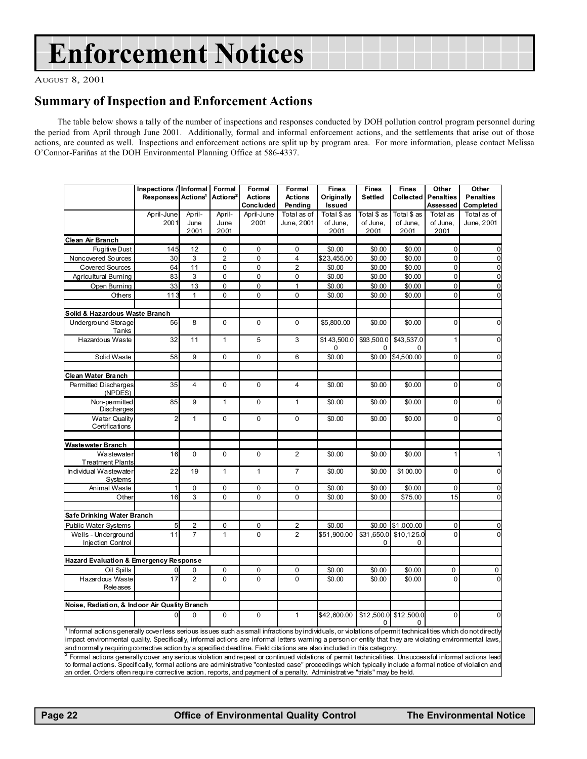# <span id="page-21-0"></span>Enforcement Notices

AUGUST 8, 2001

### Summary of Inspection and Enforcement Actions

The table below shows a tally of the number of inspections and responses conducted by DOH pollution control program personnel during the period from April through June 2001. Additionally, formal and informal enforcement actions, and the settlements that arise out of those actions, are counted as well. Inspections and enforcement actions are split up by program area. For more information, please contact Melissa OConnor-Fariñas at the DOH Environmental Planning Office at 586-4337.

|                                                                                                                                                             | Inspections / Informal         |                | Formal               | Formal           | Formal                  | <b>Fines</b>            | <b>Fines</b>           | <b>Fines</b>               | Other          | Other            |
|-------------------------------------------------------------------------------------------------------------------------------------------------------------|--------------------------------|----------------|----------------------|------------------|-------------------------|-------------------------|------------------------|----------------------------|----------------|------------------|
|                                                                                                                                                             | Responses Actions <sup>1</sup> |                | Actions <sup>2</sup> | <b>Actions</b>   | <b>Actions</b>          | Originally              | <b>Settled</b>         | <b>Collected Penalties</b> |                | <b>Penalties</b> |
|                                                                                                                                                             |                                |                |                      | <b>Concluded</b> | Pending                 | Issued                  |                        |                            | Assessed       | Completed        |
|                                                                                                                                                             | April-June                     | April-         | April-               | April-June       | Total as of             | Total \$ as             | Total \$ as            | Total \$ as                | Total as       | Total as of      |
|                                                                                                                                                             | 2001                           | June           | June                 | 2001             | June, 2001              | of June,                | of June,               | of June,                   | of June.       | June, 2001       |
|                                                                                                                                                             |                                | 2001           | 2001                 |                  |                         | 2001                    | 2001                   | 2001                       | 2001           |                  |
| Clean Air Branch                                                                                                                                            |                                |                |                      |                  |                         |                         |                        |                            |                |                  |
| <b>Fugitive Dust</b>                                                                                                                                        | 145                            | 12             | 0                    | 0                | 0                       | \$0.00                  | \$0.00                 | \$0.00                     | $\mathbf 0$    | $\mathbf 0$      |
| Noncovered Sources                                                                                                                                          | 30                             | 3              | $\overline{2}$       | $\overline{0}$   | $\overline{\mathbf{4}}$ | \$23,455.00             | \$0.00                 | \$0.00                     | $\overline{0}$ | $\overline{0}$   |
| <b>Covered Sources</b>                                                                                                                                      | 64                             | 11             | $\mathbf 0$          | 0                | $\overline{2}$          | \$0.00                  | \$0.00                 | \$0.00                     | $\mathbf 0$    | $\mathbf 0$      |
| Agricultural Burning                                                                                                                                        | 83                             | 3              | $\mathbf 0$          | 0                | 0                       | \$0.00                  | \$0.00                 | \$0.00                     | $\mathbf 0$    | $\mathbf 0$      |
| Open Burning                                                                                                                                                | 33                             | 13             | $\mathbf 0$          | 0                | $\mathbf{1}$            | \$0.00                  | \$0.00                 | \$0.00                     | $\mathbf 0$    | $\mathbf 0$      |
| Others                                                                                                                                                      | 113                            | $\mathbf{1}$   | 0                    | 0                | 0                       | \$0.00                  | \$0.00                 | \$0.00                     | 0              | $\mathbf 0$      |
|                                                                                                                                                             |                                |                |                      |                  |                         |                         |                        |                            |                |                  |
| Solid & Hazardous Waste Branch                                                                                                                              |                                |                |                      |                  |                         |                         |                        |                            |                |                  |
| <b>Underground Storage</b><br>Tanks                                                                                                                         | 56                             | 8              | $\mathbf 0$          | 0                | $\mathbf 0$             | \$5,800.00              | \$0.00                 | \$0.00                     | $\Omega$       | $\Omega$         |
| Hazardous Waste                                                                                                                                             | 32                             | 11             | $\mathbf{1}$         | 5                | 3                       | \$143,500.0<br>$\Omega$ | \$93,500.0<br>$\Omega$ | \$43,537.0<br>$\Omega$     | 1              | 0                |
| Solid Waste                                                                                                                                                 | 58                             | 9              | $\mathbf 0$          | 0                | 6                       | \$0.00                  | \$0.00                 | \$4,500.00                 | $\mathbf 0$    | $\mathbf 0$      |
|                                                                                                                                                             |                                |                |                      |                  |                         |                         |                        |                            |                |                  |
| Clean Water Branch                                                                                                                                          |                                |                |                      |                  |                         |                         |                        |                            |                |                  |
| Permitted Discharges<br>(NPDES)                                                                                                                             | 35                             | 4              | $\Omega$             | $\mathbf{0}$     | $\overline{\mathbf{4}}$ | \$0.00                  | \$0.00                 | \$0.00                     | $\Omega$       | $\Omega$         |
| Non-permitted<br>Discharges                                                                                                                                 | 85                             | 9              | $\mathbf{1}$         | 0                | $\mathbf{1}$            | \$0.00                  | \$0.00                 | \$0.00                     | $\mathbf 0$    | $\Omega$         |
| <b>Water Quality</b><br>Certifications                                                                                                                      | 2                              | $\mathbf{1}$   | $\mathbf 0$          | $\mathbf 0$      | $\Omega$                | \$0.00                  | \$0.00                 | \$0.00                     | $\Omega$       | $\Omega$         |
| Waste water Branch                                                                                                                                          |                                |                |                      |                  |                         |                         |                        |                            |                |                  |
| Wastewater<br><b>Treatment Plants</b>                                                                                                                       | 16                             | $\mathbf 0$    | $\Omega$             | 0                | $\overline{2}$          | \$0.00                  | \$0.00                 | \$0.00                     | 1              |                  |
| Individual Wastewater<br>Systems                                                                                                                            | 22                             | 19             | $\mathbf{1}$         | $\mathbf{1}$     | $\overline{7}$          | \$0.00                  | \$0.00                 | \$100.00                   | $\Omega$       | 0                |
| Animal Waste                                                                                                                                                | 1                              | 0              | 0                    | 0                | 0                       | \$0.00                  | \$0.00                 | \$0.00                     | $\mathbf 0$    | $\mathbf 0$      |
| Other                                                                                                                                                       | 16                             | 3              | $\Omega$             | 0                | 0                       | \$0.00                  | \$0.00                 | \$75.00                    | 15             | $\mathbf 0$      |
|                                                                                                                                                             |                                |                |                      |                  |                         |                         |                        |                            |                |                  |
| Safe Drinking Water Branch                                                                                                                                  |                                |                |                      |                  |                         |                         |                        |                            |                |                  |
| <b>Public Water Systems</b>                                                                                                                                 | 5                              | $\overline{2}$ | $\mathbf 0$          | 0                | $\overline{2}$          | \$0.00                  | \$0.00                 | \$1,000.00                 | $\Omega$       | $\mathbf 0$      |
| Wells - Underground<br><b>Injection Control</b>                                                                                                             | 11                             | $\overline{7}$ | $\mathbf{1}$         | $\mathbf{0}$     | $\overline{2}$          | \$51,900.00             | \$31,650.0<br>0        | \$10,125.0<br>0            | $\Omega$       | $\Omega$         |
|                                                                                                                                                             |                                |                |                      |                  |                         |                         |                        |                            |                |                  |
| Hazard Evaluation & Emergency Response                                                                                                                      |                                |                |                      |                  |                         |                         |                        |                            |                |                  |
| Oil Spills                                                                                                                                                  | 0                              | 0              | $\mathbf 0$          | 0                | 0                       | \$0.00                  | \$0.00                 | \$0.00                     | $\mathbf 0$    | 0                |
| Hazardous Waste                                                                                                                                             | 17                             | $\overline{2}$ | $\mathbf 0$          | $\mathbf 0$      | $\Omega$                | \$0.00                  | \$0.00                 | \$0.00                     | $\Omega$       | $\mathbf 0$      |
| Releases                                                                                                                                                    |                                |                |                      |                  |                         |                         |                        |                            |                |                  |
|                                                                                                                                                             |                                |                |                      |                  |                         |                         |                        |                            |                |                  |
| Noise, Radiation, & Indoor Air Quality Branch                                                                                                               |                                |                |                      |                  |                         |                         |                        |                            |                |                  |
|                                                                                                                                                             | <sub>0</sub>                   | $\mathbf 0$    | $\Omega$             | 0                | $\mathbf{1}$            | \$42,600.00             |                        | \$12,500.0 \$12,500.0      | $\Omega$       | $\Omega$         |
| Informal actions generally cover less serious issues such as small infractions by individuals, or violations of permit technicalities which do not directly |                                |                |                      |                  |                         |                         |                        |                            |                |                  |
| impact environmental quality. Specifically, informal actions are informal letters warning a person or entity that they are violating environmental laws,    |                                |                |                      |                  |                         |                         |                        |                            |                |                  |

and normally requiring corrective action by a specified deadline. Field citations are also included in this category.

 $^2$  Formal actions generally cover any serious violation and repeat or continued violations of permit technicalities. Unsuccessful informal actions lead to formal actions. Specifically, formal actions are administrative "contested case" proceedings which typically include a formal notice of violation and an order. Orders often require corrective action, reports, and payment of a penalty. Administrative "trials" may be held.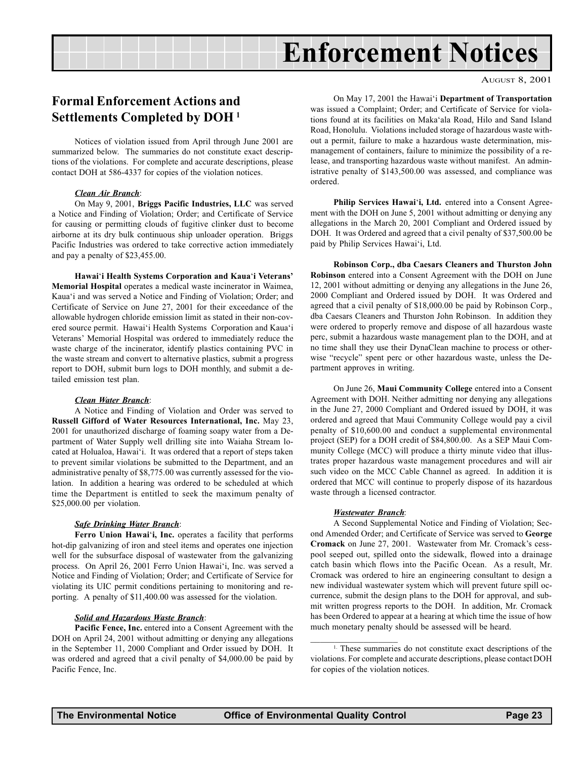## Enforcement Notices

#### AUGUST 8, 2001

### <span id="page-22-0"></span>Formal Enforcement Actions and Settlements Completed by DOH 1

Notices of violation issued from April through June 2001 are summarized below. The summaries do not constitute exact descriptions of the violations. For complete and accurate descriptions, please contact DOH at 586-4337 for copies of the violation notices.

#### Clean Air Branch:

On May 9, 2001, Briggs Pacific Industries, LLC was served a Notice and Finding of Violation; Order; and Certificate of Service for causing or permitting clouds of fugitive clinker dust to become airborne at its dry bulk continuous ship unloader operation. Briggs Pacific Industries was ordered to take corrective action immediately and pay a penalty of \$23,455.00.

Hawai'i Health Systems Corporation and Kaua'i Veterans' Memorial Hospital operates a medical waste incinerator in Waimea, Kaua'i and was served a Notice and Finding of Violation; Order; and Certificate of Service on June 27, 2001 for their exceedance of the allowable hydrogen chloride emission limit as stated in their non-covered source permit. Hawai'i Health Systems Corporation and Kaua'i Veterans' Memorial Hospital was ordered to immediately reduce the waste charge of the incinerator, identify plastics containing PVC in the waste stream and convert to alternative plastics, submit a progress report to DOH, submit burn logs to DOH monthly, and submit a detailed emission test plan.

#### Clean Water Branch:

A Notice and Finding of Violation and Order was served to Russell Gifford of Water Resources International, Inc. May 23, 2001 for unauthorized discharge of foaming soapy water from a Department of Water Supply well drilling site into Waiaha Stream located at Holualoa, Hawai'i. It was ordered that a report of steps taken to prevent similar violations be submitted to the Department, and an administrative penalty of \$8,775.00 was currently assessed for the violation. In addition a hearing was ordered to be scheduled at which time the Department is entitled to seek the maximum penalty of \$25,000.00 per violation.

#### Safe Drinking Water Branch:

Ferro Union Hawai'i, Inc. operates a facility that performs hot-dip galvanizing of iron and steel items and operates one injection well for the subsurface disposal of wastewater from the galvanizing process. On April 26, 2001 Ferro Union Hawai'i, Inc. was served a Notice and Finding of Violation; Order; and Certificate of Service for violating its UIC permit conditions pertaining to monitoring and reporting. A penalty of \$11,400.00 was assessed for the violation.

#### Solid and Hazardous Waste Branch:

Pacific Fence, Inc. entered into a Consent Agreement with the DOH on April 24, 2001 without admitting or denying any allegations in the September 11, 2000 Compliant and Order issued by DOH. It was ordered and agreed that a civil penalty of \$4,000.00 be paid by Pacific Fence, Inc.

On May 17, 2001 the Hawai'i Department of Transportation was issued a Complaint; Order; and Certificate of Service for violations found at its facilities on Maka'ala Road, Hilo and Sand Island Road, Honolulu. Violations included storage of hazardous waste without a permit, failure to make a hazardous waste determination, mismanagement of containers, failure to minimize the possibility of a release, and transporting hazardous waste without manifest. An administrative penalty of \$143,500.00 was assessed, and compliance was ordered.

Philip Services Hawai'i, Ltd. entered into a Consent Agreement with the DOH on June 5, 2001 without admitting or denying any allegations in the March 20, 2001 Compliant and Ordered issued by DOH. It was Ordered and agreed that a civil penalty of \$37,500.00 be paid by Philip Services Hawai'i, Ltd.

Robinson Corp., dba Caesars Cleaners and Thurston John Robinson entered into a Consent Agreement with the DOH on June 12, 2001 without admitting or denying any allegations in the June 26, 2000 Compliant and Ordered issued by DOH. It was Ordered and agreed that a civil penalty of \$18,000.00 be paid by Robinson Corp., dba Caesars Cleaners and Thurston John Robinson. In addition they were ordered to properly remove and dispose of all hazardous waste perc, submit a hazardous waste management plan to the DOH, and at no time shall they use their DynaClean machine to process or otherwise "recycle" spent perc or other hazardous waste, unless the Department approves in writing.

On June 26, Maui Community College entered into a Consent Agreement with DOH. Neither admitting nor denying any allegations in the June 27, 2000 Compliant and Ordered issued by DOH, it was ordered and agreed that Maui Community College would pay a civil penalty of \$10,600.00 and conduct a supplemental environmental project (SEP) for a DOH credit of \$84,800.00. As a SEP Maui Community College (MCC) will produce a thirty minute video that illustrates proper hazardous waste management procedures and will air such video on the MCC Cable Channel as agreed. In addition it is ordered that MCC will continue to properly dispose of its hazardous waste through a licensed contractor.

#### Wastewater Branch:

 $\mathcal{L}=\mathcal{L}^{\mathcal{L}}$ 

A Second Supplemental Notice and Finding of Violation; Second Amended Order; and Certificate of Service was served to George Cromack on June 27, 2001. Wastewater from Mr. Cromack's cesspool seeped out, spilled onto the sidewalk, flowed into a drainage catch basin which flows into the Pacific Ocean. As a result, Mr. Cromack was ordered to hire an engineering consultant to design a new individual wastewater system which will prevent future spill occurrence, submit the design plans to the DOH for approval, and submit written progress reports to the DOH. In addition, Mr. Cromack has been Ordered to appear at a hearing at which time the issue of how much monetary penalty should be assessed will be heard.

<sup>&</sup>lt;sup>1.</sup> These summaries do not constitute exact descriptions of the violations. For complete and accurate descriptions, please contact DOH for copies of the violation notices.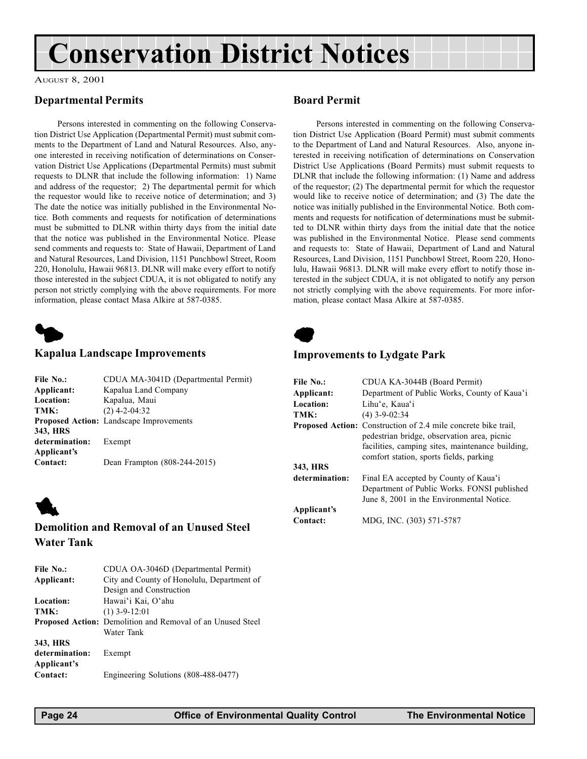# <span id="page-23-0"></span>Conservation District Notices

#### AUGUST 8, 2001

### Departmental Permits

Persons interested in commenting on the following Conservation District Use Application (Departmental Permit) must submit comments to the Department of Land and Natural Resources. Also, anyone interested in receiving notification of determinations on Conservation District Use Applications (Departmental Permits) must submit requests to DLNR that include the following information: 1) Name and address of the requestor; 2) The departmental permit for which the requestor would like to receive notice of determination; and 3) The date the notice was initially published in the Environmental Notice. Both comments and requests for notification of determinations must be submitted to DLNR within thirty days from the initial date that the notice was published in the Environmental Notice. Please send comments and requests to: State of Hawaii, Department of Land and Natural Resources, Land Division, 1151 Punchbowl Street, Room 220, Honolulu, Hawaii 96813. DLNR will make every effort to notify those interested in the subject CDUA, it is not obligated to notify any person not strictly complying with the above requirements. For more information, please contact Masa Alkire at 587-0385.



#### Kapalua Landscape Improvements

| File No.:      | CDUA MA-3041D (Departmental Permit)            |  |  |  |
|----------------|------------------------------------------------|--|--|--|
| Applicant:     | Kapalua Land Company                           |  |  |  |
| Location:      | Kapalua, Maui                                  |  |  |  |
| TMK:           | $(2)$ 4-2-04:32                                |  |  |  |
|                | <b>Proposed Action:</b> Landscape Improvements |  |  |  |
| 343, HRS       |                                                |  |  |  |
| determination: | Exempt                                         |  |  |  |
| Applicant's    |                                                |  |  |  |
| Contact:       | Dean Frampton (808-244-2015)                   |  |  |  |
|                |                                                |  |  |  |



### Demolition and Removal of an Unused Steel Water Tank

| File No.:      | CDUA OA-3046D (Departmental Permit)                               |
|----------------|-------------------------------------------------------------------|
| Applicant:     | City and County of Honolulu, Department of                        |
|                | Design and Construction                                           |
| Location:      | Hawai'i Kai, O'ahu                                                |
| TMK:           | $(1)$ 3-9-12:01                                                   |
|                | <b>Proposed Action:</b> Demolition and Removal of an Unused Steel |
|                | Water Tank                                                        |
| 343, HRS       |                                                                   |
| determination: | Exempt                                                            |
| Applicant's    |                                                                   |
| Contact:       | Engineering Solutions (808-488-0477)                              |
|                |                                                                   |

### Board Permit

Persons interested in commenting on the following Conservation District Use Application (Board Permit) must submit comments to the Department of Land and Natural Resources. Also, anyone interested in receiving notification of determinations on Conservation District Use Applications (Board Permits) must submit requests to DLNR that include the following information: (1) Name and address of the requestor; (2) The departmental permit for which the requestor would like to receive notice of determination; and (3) The date the notice was initially published in the Environmental Notice. Both comments and requests for notification of determinations must be submitted to DLNR within thirty days from the initial date that the notice was published in the Environmental Notice. Please send comments and requests to: State of Hawaii, Department of Land and Natural Resources, Land Division, 1151 Punchbowl Street, Room 220, Honolulu, Hawaii 96813. DLNR will make every effort to notify those interested in the subject CDUA, it is not obligated to notify any person not strictly complying with the above requirements. For more information, please contact Masa Alkire at 587-0385.



### Improvements to Lydgate Park

| File No.:      | CDUA KA-3044B (Board Permit)                                                                                                                                                                                        |
|----------------|---------------------------------------------------------------------------------------------------------------------------------------------------------------------------------------------------------------------|
| Applicant:     | Department of Public Works, County of Kaua'i                                                                                                                                                                        |
| Location:      | Lihu'e, Kaua'i                                                                                                                                                                                                      |
| TMK:           | $(4)$ 3-9-02:34                                                                                                                                                                                                     |
|                | <b>Proposed Action:</b> Construction of 2.4 mile concrete bike trail,<br>pedestrian bridge, observation area, picnic<br>facilities, camping sites, maintenance building,<br>comfort station, sports fields, parking |
| 343, HRS       |                                                                                                                                                                                                                     |
| determination: | Final EA accepted by County of Kaua'i<br>Department of Public Works. FONSI published<br>June 8, 2001 in the Environmental Notice.                                                                                   |
| Applicant's    |                                                                                                                                                                                                                     |
| Contact:       | MDG, INC. (303) 571-5787                                                                                                                                                                                            |